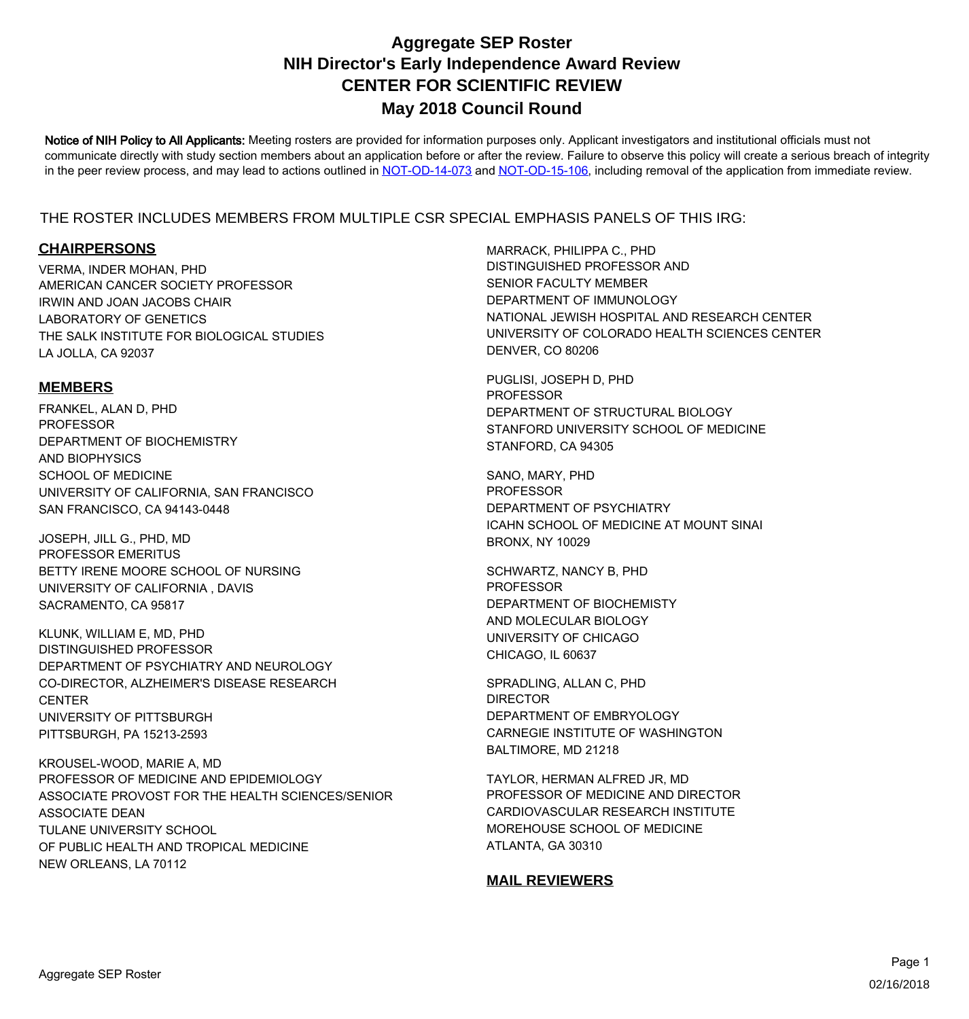Notice of NIH Policy to All Applicants: Meeting rosters are provided for information purposes only. Applicant investigators and institutional officials must not communicate directly with study section members about an application before or after the review. Failure to observe this policy will create a serious breach of integrity in the peer review process, and may lead to actions outlined in [NOT-OD-14-073](https://grants.nih.gov/grants/guide/notice-files/NOT-OD-14-073.html) and [NOT-OD-15-106,](https://grants.nih.gov/grants/guide/notice-files/NOT-OD-15-106.html) including removal of the application from immediate review.

#### THE ROSTER INCLUDES MEMBERS FROM MULTIPLE CSR SPECIAL EMPHASIS PANELS OF THIS IRG:

#### **CHAIRPERSONS**

VERMA, INDER MOHAN, PHD LABORATORY OF GENETICS THE SALK INSTITUTE FOR BIOLOGICAL STUDIES LA JOLLA, CA 92037 AMERICAN CANCER SOCIETY PROFESSOR IRWIN AND JOAN JACOBS CHAIR

#### **MEMBERS**

FRANKEL, ALAN D, PHD AND BIOPHYSICS SCHOOL OF MEDICINE UNIVERSITY OF CALIFORNIA, SAN FRANCISCO SAN FRANCISCO, CA 94143-0448 PROFESSOR DEPARTMENT OF BIOCHEMISTRY

JOSEPH, JILL G., PHD, MD UNIVERSITY OF CALIFORNIA , DAVIS SACRAMENTO, CA 95817 PROFESSOR EMERITUS BETTY IRENE MOORE SCHOOL OF NURSING

KLUNK, WILLIAM E, MD, PHD CO-DIRECTOR, ALZHEIMER'S DISEASE RESEARCH **CENTER** UNIVERSITY OF PITTSBURGH PITTSBURGH, PA 15213-2593 DISTINGUISHED PROFESSOR DEPARTMENT OF PSYCHIATRY AND NEUROLOGY

KROUSEL-WOOD, MARIE A, MD ASSOCIATE DEAN TULANE UNIVERSITY SCHOOL OF PUBLIC HEALTH AND TROPICAL MEDICINE NEW ORLEANS, LA 70112 PROFESSOR OF MEDICINE AND EPIDEMIOLOGY ASSOCIATE PROVOST FOR THE HEALTH SCIENCES/SENIOR MARRACK, PHILIPPA C., PHD DEPARTMENT OF IMMUNOLOGY NATIONAL JEWISH HOSPITAL AND RESEARCH CENTER UNIVERSITY OF COLORADO HEALTH SCIENCES CENTER DENVER, CO 80206 DISTINGUISHED PROFESSOR AND SENIOR FACULTY MEMBER

PUGLISI, JOSEPH D, PHD STANFORD UNIVERSITY SCHOOL OF MEDICINE STANFORD, CA 94305 PROFESSOR DEPARTMENT OF STRUCTURAL BIOLOGY

SANO, MARY, PHD ICAHN SCHOOL OF MEDICINE AT MOUNT SINAI BRONX, NY 10029 PROFESSOR DEPARTMENT OF PSYCHIATRY

SCHWARTZ, NANCY B, PHD AND MOLECULAR BIOLOGY UNIVERSITY OF CHICAGO CHICAGO, IL 60637 PROFESSOR DEPARTMENT OF BIOCHEMISTY

SPRADLING, ALLAN C, PHD CARNEGIE INSTITUTE OF WASHINGTON BALTIMORE, MD 21218 DIRECTOR DEPARTMENT OF EMBRYOLOGY

TAYLOR, HERMAN ALFRED JR, MD MOREHOUSE SCHOOL OF MEDICINE ATLANTA, GA 30310 PROFESSOR OF MEDICINE AND DIRECTOR CARDIOVASCULAR RESEARCH INSTITUTE

#### **MAIL REVIEWERS**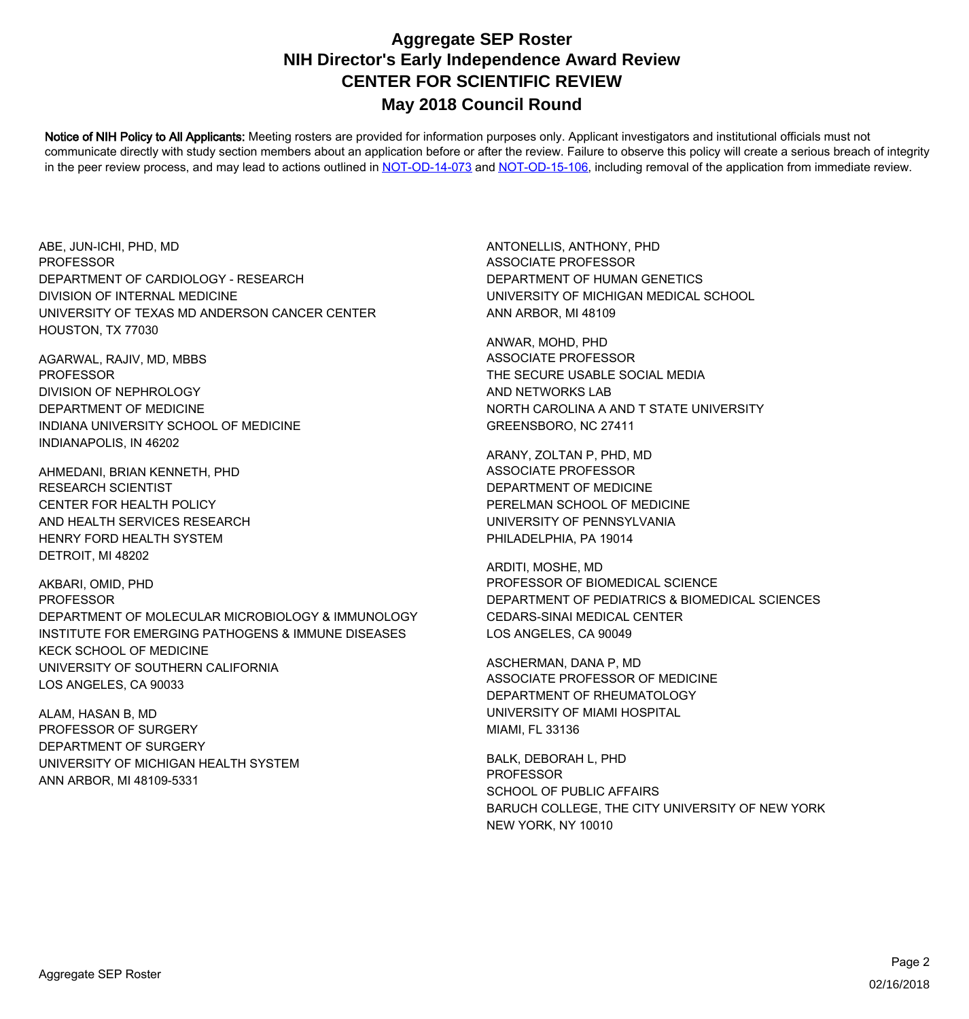Notice of NIH Policy to All Applicants: Meeting rosters are provided for information purposes only. Applicant investigators and institutional officials must not communicate directly with study section members about an application before or after the review. Failure to observe this policy will create a serious breach of integrity in the peer review process, and may lead to actions outlined in [NOT-OD-14-073](https://grants.nih.gov/grants/guide/notice-files/NOT-OD-14-073.html) and [NOT-OD-15-106,](https://grants.nih.gov/grants/guide/notice-files/NOT-OD-15-106.html) including removal of the application from immediate review.

ABE, JUN-ICHI, PHD, MD DIVISION OF INTERNAL MEDICINE UNIVERSITY OF TEXAS MD ANDERSON CANCER CENTER HOUSTON, TX 77030 PROFESSOR DEPARTMENT OF CARDIOLOGY - RESEARCH

AGARWAL, RAJIV, MD, MBBS DEPARTMENT OF MEDICINE INDIANA UNIVERSITY SCHOOL OF MEDICINE INDIANAPOLIS, IN 46202 PROFESSOR DIVISION OF NEPHROLOGY

AHMEDANI, BRIAN KENNETH, PHD AND HEALTH SERVICES RESEARCH HENRY FORD HEALTH SYSTEM DETROIT, MI 48202 RESEARCH SCIENTIST CENTER FOR HEALTH POLICY

AKBARI, OMID, PHD INSTITUTE FOR EMERGING PATHOGENS & IMMUNE DISEASES KECK SCHOOL OF MEDICINE UNIVERSITY OF SOUTHERN CALIFORNIA LOS ANGELES, CA 90033 PROFESSOR DEPARTMENT OF MOLECULAR MICROBIOLOGY & IMMUNOLOGY

ALAM, HASAN B, MD UNIVERSITY OF MICHIGAN HEALTH SYSTEM ANN ARBOR, MI 48109-5331 PROFESSOR OF SURGERY DEPARTMENT OF SURGERY

ANTONELLIS, ANTHONY, PHD UNIVERSITY OF MICHIGAN MEDICAL SCHOOL ANN ARBOR, MI 48109 ASSOCIATE PROFESSOR DEPARTMENT OF HUMAN GENETICS

ANWAR, MOHD, PHD AND NETWORKS LAB NORTH CAROLINA A AND T STATE UNIVERSITY GREENSBORO, NC 27411 ASSOCIATE PROFESSOR THE SECURE USABLE SOCIAL MEDIA

ARANY, ZOLTAN P, PHD, MD PERELMAN SCHOOL OF MEDICINE UNIVERSITY OF PENNSYLVANIA PHILADELPHIA, PA 19014 ASSOCIATE PROFESSOR DEPARTMENT OF MEDICINE

ARDITI, MOSHE, MD CEDARS-SINAI MEDICAL CENTER LOS ANGELES, CA 90049 PROFESSOR OF BIOMEDICAL SCIENCE DEPARTMENT OF PEDIATRICS & BIOMEDICAL SCIENCES

ASCHERMAN, DANA P, MD UNIVERSITY OF MIAMI HOSPITAL MIAMI, FL 33136 ASSOCIATE PROFESSOR OF MEDICINE DEPARTMENT OF RHEUMATOLOGY

BALK, DEBORAH L, PHD BARUCH COLLEGE, THE CITY UNIVERSITY OF NEW YORK NEW YORK, NY 10010 PROFESSOR SCHOOL OF PUBLIC AFFAIRS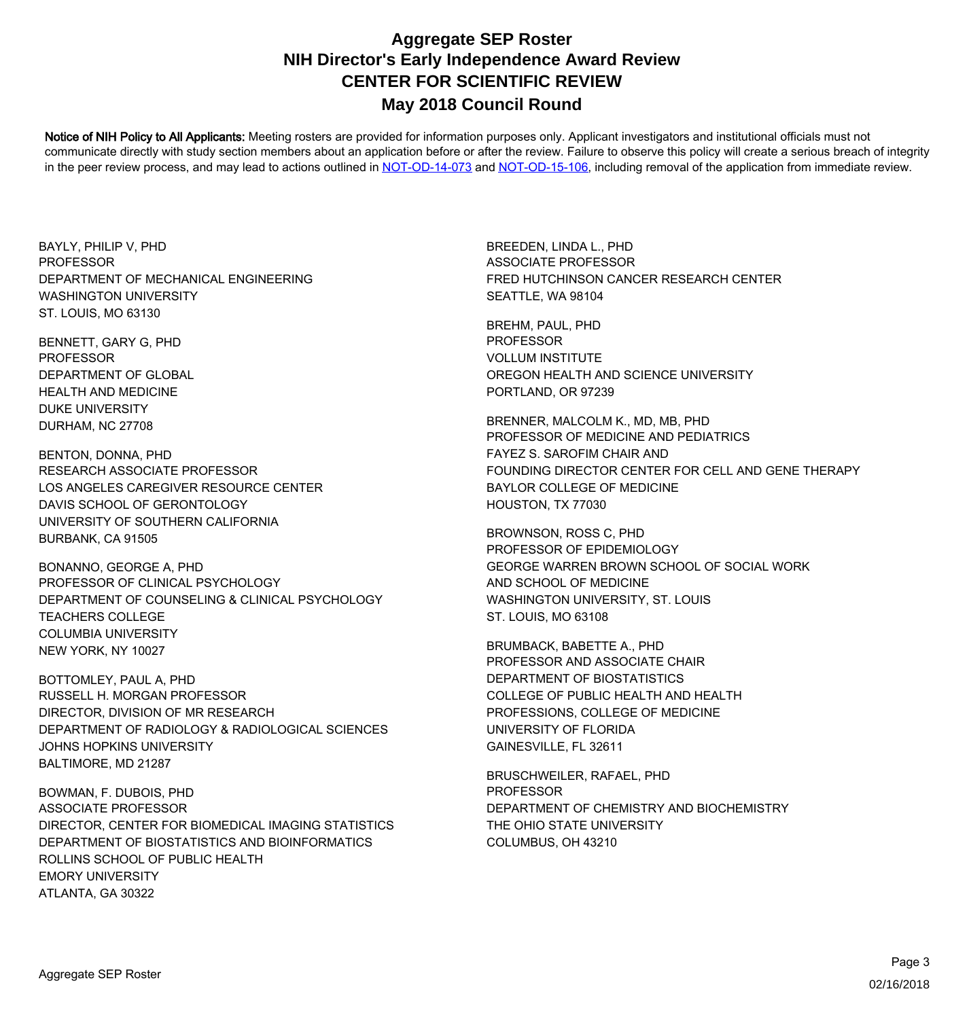Notice of NIH Policy to All Applicants: Meeting rosters are provided for information purposes only. Applicant investigators and institutional officials must not communicate directly with study section members about an application before or after the review. Failure to observe this policy will create a serious breach of integrity in the peer review process, and may lead to actions outlined in [NOT-OD-14-073](https://grants.nih.gov/grants/guide/notice-files/NOT-OD-14-073.html) and [NOT-OD-15-106,](https://grants.nih.gov/grants/guide/notice-files/NOT-OD-15-106.html) including removal of the application from immediate review.

BAYLY, PHILIP V, PHD WASHINGTON UNIVERSITY ST. LOUIS, MO 63130 **PROFESSOR** DEPARTMENT OF MECHANICAL ENGINEERING

BENNETT, GARY G, PHD HEALTH AND MEDICINE DUKE UNIVERSITY DURHAM, NC 27708 PROFESSOR DEPARTMENT OF GLOBAL

BENTON, DONNA, PHD DAVIS SCHOOL OF GERONTOLOGY UNIVERSITY OF SOUTHERN CALIFORNIA BURBANK, CA 91505 RESEARCH ASSOCIATE PROFESSOR LOS ANGELES CAREGIVER RESOURCE CENTER

BONANNO, GEORGE A, PHD TEACHERS COLLEGE COLUMBIA UNIVERSITY NEW YORK, NY 10027 PROFESSOR OF CLINICAL PSYCHOLOGY DEPARTMENT OF COUNSELING & CLINICAL PSYCHOLOGY

BOTTOMLEY, PAUL A, PHD DEPARTMENT OF RADIOLOGY & RADIOLOGICAL SCIENCES JOHNS HOPKINS UNIVERSITY BALTIMORE, MD 21287 RUSSELL H. MORGAN PROFESSOR DIRECTOR, DIVISION OF MR RESEARCH

BOWMAN, F. DUBOIS, PHD DEPARTMENT OF BIOSTATISTICS AND BIOINFORMATICS ROLLINS SCHOOL OF PUBLIC HEALTH EMORY UNIVERSITY ATLANTA, GA 30322 ASSOCIATE PROFESSOR DIRECTOR, CENTER FOR BIOMEDICAL IMAGING STATISTICS

BREEDEN, LINDA L., PHD SEATTLE, WA 98104 ASSOCIATE PROFESSOR FRED HUTCHINSON CANCER RESEARCH CENTER

BREHM, PAUL, PHD OREGON HEALTH AND SCIENCE UNIVERSITY PORTLAND, OR 97239 PROFESSOR VOLLUM INSTITUTE

BRENNER, MALCOLM K., MD, MB, PHD FOUNDING DIRECTOR CENTER FOR CELL AND GENE THERAPY BAYLOR COLLEGE OF MEDICINE HOUSTON, TX 77030 PROFESSOR OF MEDICINE AND PEDIATRICS FAYEZ S. SAROFIM CHAIR AND

BROWNSON, ROSS C, PHD AND SCHOOL OF MEDICINE WASHINGTON UNIVERSITY, ST. LOUIS ST. LOUIS, MO 63108 PROFESSOR OF EPIDEMIOLOGY GEORGE WARREN BROWN SCHOOL OF SOCIAL WORK

BRUMBACK, BABETTE A., PHD COLLEGE OF PUBLIC HEALTH AND HEALTH PROFESSIONS, COLLEGE OF MEDICINE UNIVERSITY OF FLORIDA GAINESVILLE, FL 32611 PROFESSOR AND ASSOCIATE CHAIR DEPARTMENT OF BIOSTATISTICS

BRUSCHWEILER, RAFAEL, PHD THE OHIO STATE UNIVERSITY COLUMBUS, OH 43210 PROFESSOR DEPARTMENT OF CHEMISTRY AND BIOCHEMISTRY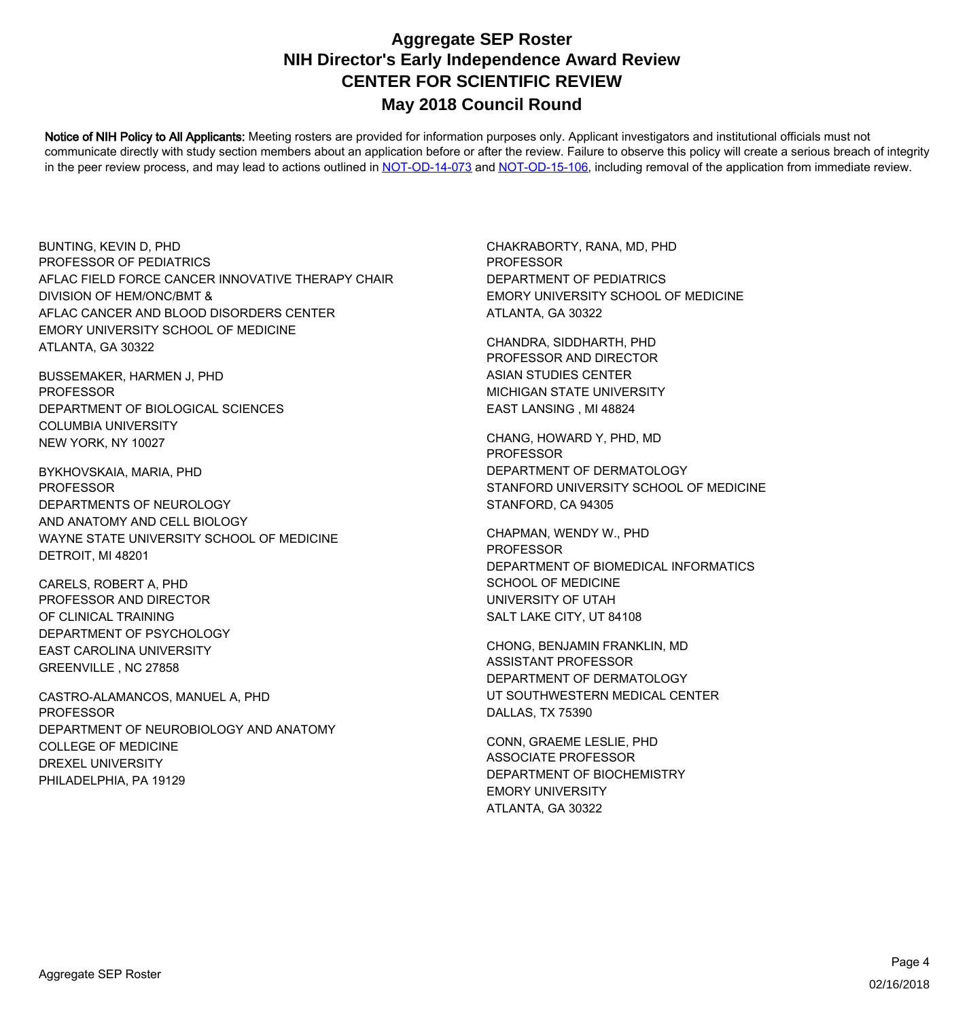Notice of NIH Policy to All Applicants: Meeting rosters are provided for information purposes only. Applicant investigators and institutional officials must not communicate directly with study section members about an application before or after the review. Failure to observe this policy will create a serious breach of integrity in the peer review process, and may lead to actions outlined in [NOT-OD-14-073](https://grants.nih.gov/grants/guide/notice-files/NOT-OD-14-073.html) and [NOT-OD-15-106,](https://grants.nih.gov/grants/guide/notice-files/NOT-OD-15-106.html) including removal of the application from immediate review.

BUNTING, KEVIN D, PHD DIVISION OF HEM/ONC/BMT & AFLAC CANCER AND BLOOD DISORDERS CENTER EMORY UNIVERSITY SCHOOL OF MEDICINE ATLANTA, GA 30322 PROFESSOR OF PEDIATRICS AFLAC FIELD FORCE CANCER INNOVATIVE THERAPY CHAIR

BUSSEMAKER, HARMEN J, PHD COLUMBIA UNIVERSITY NEW YORK, NY 10027 PROFESSOR DEPARTMENT OF BIOLOGICAL SCIENCES

BYKHOVSKAIA, MARIA, PHD AND ANATOMY AND CELL BIOLOGY WAYNE STATE UNIVERSITY SCHOOL OF MEDICINE DETROIT, MI 48201 PROFESSOR DEPARTMENTS OF NEUROLOGY

CARELS, ROBERT A, PHD DEPARTMENT OF PSYCHOLOGY EAST CAROLINA UNIVERSITY GREENVILLE , NC 27858 PROFESSOR AND DIRECTOR OF CLINICAL TRAINING

CASTRO-ALAMANCOS, MANUEL A, PHD COLLEGE OF MEDICINE DREXEL UNIVERSITY PHILADELPHIA, PA 19129 PROFESSOR DEPARTMENT OF NEUROBIOLOGY AND ANATOMY

CHAKRABORTY, RANA, MD, PHD EMORY UNIVERSITY SCHOOL OF MEDICINE ATLANTA, GA 30322 PROFESSOR DEPARTMENT OF PEDIATRICS

CHANDRA, SIDDHARTH, PHD MICHIGAN STATE UNIVERSITY EAST LANSING , MI 48824 PROFESSOR AND DIRECTOR ASIAN STUDIES CENTER

CHANG, HOWARD Y, PHD, MD STANFORD UNIVERSITY SCHOOL OF MEDICINE STANFORD, CA 94305 PROFESSOR DEPARTMENT OF DERMATOLOGY

CHAPMAN, WENDY W., PHD SCHOOL OF MEDICINE UNIVERSITY OF UTAH SALT LAKE CITY, UT 84108 PROFESSOR DEPARTMENT OF BIOMEDICAL INFORMATICS

CHONG, BENJAMIN FRANKLIN, MD UT SOUTHWESTERN MEDICAL CENTER DALLAS, TX 75390 ASSISTANT PROFESSOR DEPARTMENT OF DERMATOLOGY

CONN, GRAEME LESLIE, PHD EMORY UNIVERSITY ATLANTA, GA 30322 ASSOCIATE PROFESSOR DEPARTMENT OF BIOCHEMISTRY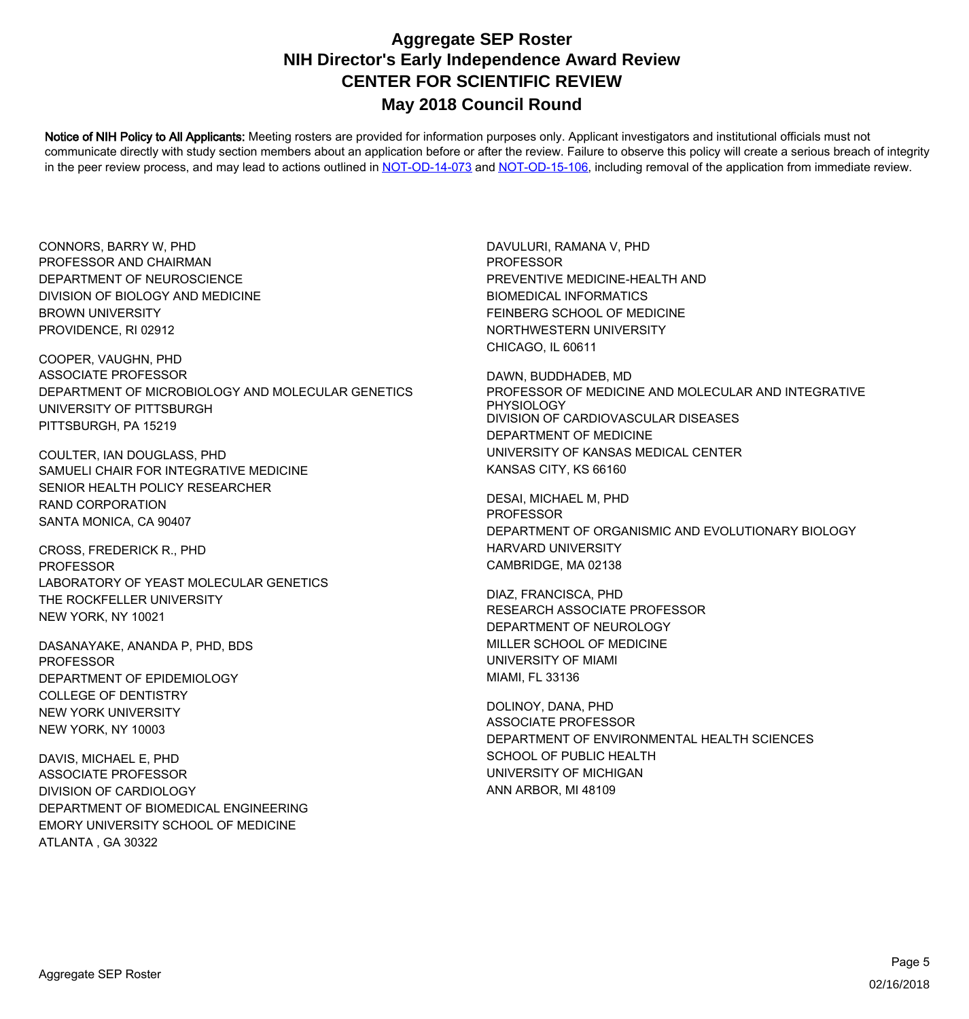Notice of NIH Policy to All Applicants: Meeting rosters are provided for information purposes only. Applicant investigators and institutional officials must not communicate directly with study section members about an application before or after the review. Failure to observe this policy will create a serious breach of integrity in the peer review process, and may lead to actions outlined in [NOT-OD-14-073](https://grants.nih.gov/grants/guide/notice-files/NOT-OD-14-073.html) and [NOT-OD-15-106,](https://grants.nih.gov/grants/guide/notice-files/NOT-OD-15-106.html) including removal of the application from immediate review.

CONNORS, BARRY W, PHD DIVISION OF BIOLOGY AND MEDICINE BROWN UNIVERSITY PROVIDENCE, RI 02912 PROFESSOR AND CHAIRMAN DEPARTMENT OF NEUROSCIENCE

COOPER, VAUGHN, PHD UNIVERSITY OF PITTSBURGH PITTSBURGH, PA 15219 ASSOCIATE PROFESSOR DEPARTMENT OF MICROBIOLOGY AND MOLECULAR GENETICS

COULTER, IAN DOUGLASS, PHD SENIOR HEALTH POLICY RESEARCHER RAND CORPORATION SANTA MONICA, CA 90407 SAMUELI CHAIR FOR INTEGRATIVE MEDICINE

CROSS, FREDERICK R., PHD THE ROCKFELLER UNIVERSITY NEW YORK, NY 10021 PROFESSOR LABORATORY OF YEAST MOLECULAR GENETICS

DASANAYAKE, ANANDA P, PHD, BDS COLLEGE OF DENTISTRY NEW YORK UNIVERSITY NEW YORK, NY 10003 PROFESSOR DEPARTMENT OF EPIDEMIOLOGY

DAVIS, MICHAEL E, PHD DEPARTMENT OF BIOMEDICAL ENGINEERING EMORY UNIVERSITY SCHOOL OF MEDICINE ATLANTA , GA 30322 ASSOCIATE PROFESSOR DIVISION OF CARDIOLOGY

DAVULURI, RAMANA V, PHD BIOMEDICAL INFORMATICS FEINBERG SCHOOL OF MEDICINE NORTHWESTERN UNIVERSITY CHICAGO, IL 60611 PROFESSOR PREVENTIVE MEDICINE-HEALTH AND

DAWN, BUDDHADEB, MD DEPARTMENT OF MEDICINE UNIVERSITY OF KANSAS MEDICAL CENTER KANSAS CITY, KS 66160 PROFESSOR OF MEDICINE AND MOLECULAR AND INTEGRATIVE PHYSIOLOGY DIVISION OF CARDIOVASCULAR DISEASES

DESAI, MICHAEL M, PHD HARVARD UNIVERSITY CAMBRIDGE, MA 02138 PROFESSOR DEPARTMENT OF ORGANISMIC AND EVOLUTIONARY BIOLOGY

DIAZ, FRANCISCA, PHD MILLER SCHOOL OF MEDICINE UNIVERSITY OF MIAMI MIAMI, FL 33136 RESEARCH ASSOCIATE PROFESSOR DEPARTMENT OF NEUROLOGY

DOLINOY, DANA, PHD SCHOOL OF PUBLIC HEALTH UNIVERSITY OF MICHIGAN ANN ARBOR, MI 48109 ASSOCIATE PROFESSOR DEPARTMENT OF ENVIRONMENTAL HEALTH SCIENCES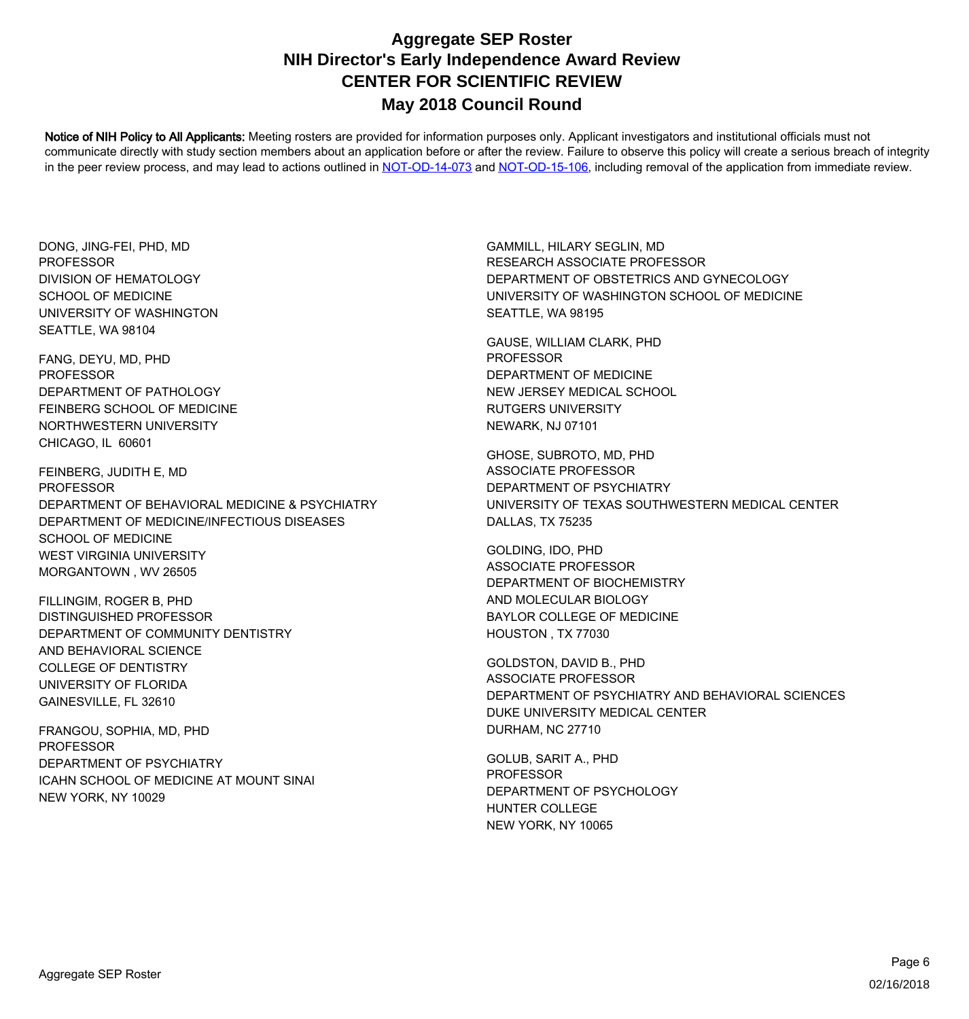Notice of NIH Policy to All Applicants: Meeting rosters are provided for information purposes only. Applicant investigators and institutional officials must not communicate directly with study section members about an application before or after the review. Failure to observe this policy will create a serious breach of integrity in the peer review process, and may lead to actions outlined in [NOT-OD-14-073](https://grants.nih.gov/grants/guide/notice-files/NOT-OD-14-073.html) and [NOT-OD-15-106,](https://grants.nih.gov/grants/guide/notice-files/NOT-OD-15-106.html) including removal of the application from immediate review.

DONG, JING-FEI, PHD, MD SCHOOL OF MEDICINE UNIVERSITY OF WASHINGTON SEATTLE, WA 98104 **PROFESSOR** DIVISION OF HEMATOLOGY

FANG, DEYU, MD, PHD FEINBERG SCHOOL OF MEDICINE NORTHWESTERN UNIVERSITY CHICAGO, IL 60601 PROFESSOR DEPARTMENT OF PATHOLOGY

FEINBERG, JUDITH E, MD DEPARTMENT OF MEDICINE/INFECTIOUS DISEASES SCHOOL OF MEDICINE WEST VIRGINIA UNIVERSITY MORGANTOWN , WV 26505 PROFESSOR DEPARTMENT OF BEHAVIORAL MEDICINE & PSYCHIATRY

FILLINGIM, ROGER B, PHD AND BEHAVIORAL SCIENCE COLLEGE OF DENTISTRY UNIVERSITY OF FLORIDA GAINESVILLE, FL 32610 DISTINGUISHED PROFESSOR DEPARTMENT OF COMMUNITY DENTISTRY

FRANGOU, SOPHIA, MD, PHD ICAHN SCHOOL OF MEDICINE AT MOUNT SINAI NEW YORK, NY 10029 PROFESSOR DEPARTMENT OF PSYCHIATRY

GAMMILL, HILARY SEGLIN, MD UNIVERSITY OF WASHINGTON SCHOOL OF MEDICINE SEATTLE, WA 98195 RESEARCH ASSOCIATE PROFESSOR DEPARTMENT OF OBSTETRICS AND GYNECOLOGY

GAUSE, WILLIAM CLARK, PHD NEW JERSEY MEDICAL SCHOOL RUTGERS UNIVERSITY NEWARK, NJ 07101 PROFESSOR DEPARTMENT OF MEDICINE

GHOSE, SUBROTO, MD, PHD UNIVERSITY OF TEXAS SOUTHWESTERN MEDICAL CENTER DALLAS, TX 75235 ASSOCIATE PROFESSOR DEPARTMENT OF PSYCHIATRY

GOLDING, IDO, PHD AND MOLECULAR BIOLOGY BAYLOR COLLEGE OF MEDICINE HOUSTON , TX 77030 ASSOCIATE PROFESSOR DEPARTMENT OF BIOCHEMISTRY

GOLDSTON, DAVID B., PHD DUKE UNIVERSITY MEDICAL CENTER DURHAM, NC 27710 ASSOCIATE PROFESSOR DEPARTMENT OF PSYCHIATRY AND BEHAVIORAL SCIENCES

GOLUB, SARIT A., PHD HUNTER COLLEGE NEW YORK, NY 10065 PROFESSOR DEPARTMENT OF PSYCHOLOGY

02/16/2018 Page 6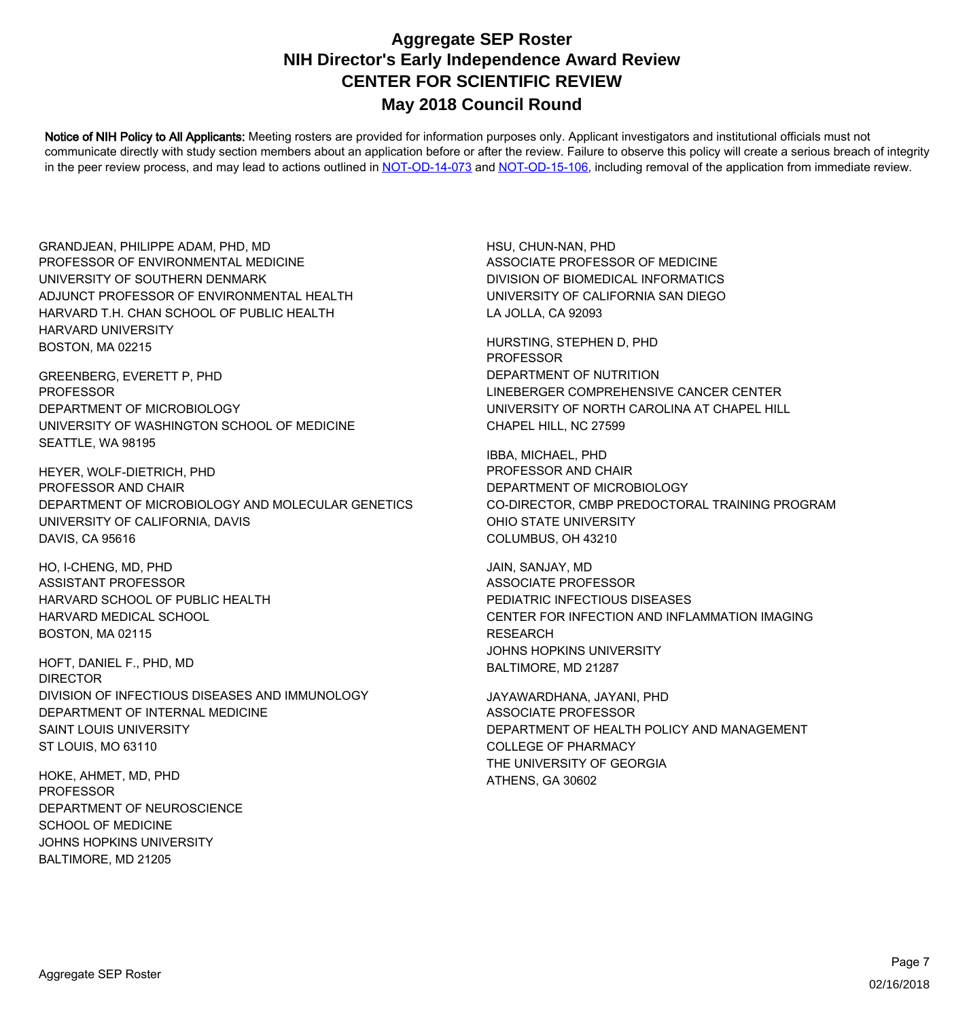Notice of NIH Policy to All Applicants: Meeting rosters are provided for information purposes only. Applicant investigators and institutional officials must not communicate directly with study section members about an application before or after the review. Failure to observe this policy will create a serious breach of integrity in the peer review process, and may lead to actions outlined in [NOT-OD-14-073](https://grants.nih.gov/grants/guide/notice-files/NOT-OD-14-073.html) and [NOT-OD-15-106,](https://grants.nih.gov/grants/guide/notice-files/NOT-OD-15-106.html) including removal of the application from immediate review.

GRANDJEAN, PHILIPPE ADAM, PHD, MD ADJUNCT PROFESSOR OF ENVIRONMENTAL HEALTH HARVARD T.H. CHAN SCHOOL OF PUBLIC HEALTH HARVARD UNIVERSITY BOSTON, MA 02215 PROFESSOR OF ENVIRONMENTAL MEDICINE UNIVERSITY OF SOUTHERN DENMARK

GREENBERG, EVERETT P, PHD UNIVERSITY OF WASHINGTON SCHOOL OF MEDICINE SEATTLE, WA 98195 PROFESSOR DEPARTMENT OF MICROBIOLOGY

HEYER, WOLF-DIETRICH, PHD UNIVERSITY OF CALIFORNIA, DAVIS DAVIS, CA 95616 PROFESSOR AND CHAIR DEPARTMENT OF MICROBIOLOGY AND MOLECULAR GENETICS

HO, I-CHENG, MD, PHD HARVARD MEDICAL SCHOOL BOSTON, MA 02115 ASSISTANT PROFESSOR HARVARD SCHOOL OF PUBLIC HEALTH

HOFT, DANIEL F., PHD, MD DEPARTMENT OF INTERNAL MEDICINE SAINT LOUIS UNIVERSITY ST LOUIS, MO 63110 DIRECTOR DIVISION OF INFECTIOUS DISEASES AND IMMUNOLOGY

HOKE, AHMET, MD, PHD SCHOOL OF MEDICINE JOHNS HOPKINS UNIVERSITY BALTIMORE, MD 21205 PROFESSOR DEPARTMENT OF NEUROSCIENCE HSU, CHUN-NAN, PHD UNIVERSITY OF CALIFORNIA SAN DIEGO LA JOLLA, CA 92093 ASSOCIATE PROFESSOR OF MEDICINE DIVISION OF BIOMEDICAL INFORMATICS

HURSTING, STEPHEN D, PHD LINEBERGER COMPREHENSIVE CANCER CENTER UNIVERSITY OF NORTH CAROLINA AT CHAPEL HILL CHAPEL HILL, NC 27599 PROFESSOR DEPARTMENT OF NUTRITION

IBBA, MICHAEL, PHD CO-DIRECTOR, CMBP PREDOCTORAL TRAINING PROGRAM OHIO STATE UNIVERSITY COLUMBUS, OH 43210 PROFESSOR AND CHAIR DEPARTMENT OF MICROBIOLOGY

JAIN, SANJAY, MD CENTER FOR INFECTION AND INFLAMMATION IMAGING RESEARCH JOHNS HOPKINS UNIVERSITY BALTIMORE, MD 21287 ASSOCIATE PROFESSOR PEDIATRIC INFECTIOUS DISEASES

JAYAWARDHANA, JAYANI, PHD DEPARTMENT OF HEALTH POLICY AND MANAGEMENT COLLEGE OF PHARMACY THE UNIVERSITY OF GEORGIA ATHENS, GA 30602 ASSOCIATE PROFESSOR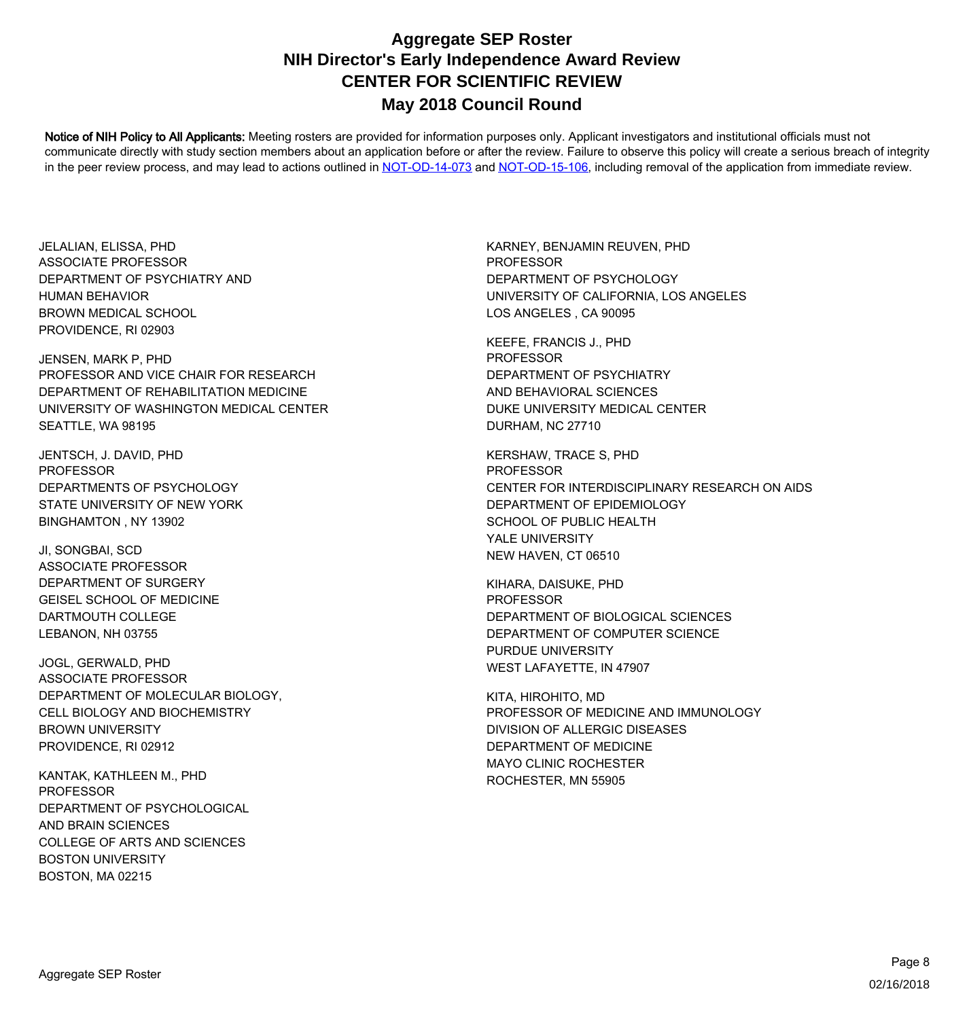Notice of NIH Policy to All Applicants: Meeting rosters are provided for information purposes only. Applicant investigators and institutional officials must not communicate directly with study section members about an application before or after the review. Failure to observe this policy will create a serious breach of integrity in the peer review process, and may lead to actions outlined in [NOT-OD-14-073](https://grants.nih.gov/grants/guide/notice-files/NOT-OD-14-073.html) and [NOT-OD-15-106,](https://grants.nih.gov/grants/guide/notice-files/NOT-OD-15-106.html) including removal of the application from immediate review.

JELALIAN, ELISSA, PHD HUMAN BEHAVIOR BROWN MEDICAL SCHOOL PROVIDENCE, RI 02903 ASSOCIATE PROFESSOR DEPARTMENT OF PSYCHIATRY AND

JENSEN, MARK P, PHD UNIVERSITY OF WASHINGTON MEDICAL CENTER SEATTLE, WA 98195 PROFESSOR AND VICE CHAIR FOR RESEARCH DEPARTMENT OF REHABILITATION MEDICINE

JENTSCH, J. DAVID, PHD STATE UNIVERSITY OF NEW YORK BINGHAMTON , NY 13902 PROFESSOR DEPARTMENTS OF PSYCHOLOGY

JI, SONGBAI, SCD GEISEL SCHOOL OF MEDICINE DARTMOUTH COLLEGE LEBANON, NH 03755 ASSOCIATE PROFESSOR DEPARTMENT OF SURGERY

JOGL, GERWALD, PHD CELL BIOLOGY AND BIOCHEMISTRY BROWN UNIVERSITY PROVIDENCE, RI 02912 ASSOCIATE PROFESSOR DEPARTMENT OF MOLECULAR BIOLOGY,

KANTAK, KATHLEEN M., PHD AND BRAIN SCIENCES COLLEGE OF ARTS AND SCIENCES BOSTON UNIVERSITY BOSTON, MA 02215 PROFESSOR DEPARTMENT OF PSYCHOLOGICAL

KARNEY, BENJAMIN REUVEN, PHD UNIVERSITY OF CALIFORNIA, LOS ANGELES LOS ANGELES , CA 90095 PROFESSOR DEPARTMENT OF PSYCHOLOGY

KEEFE, FRANCIS J., PHD AND BEHAVIORAL SCIENCES DUKE UNIVERSITY MEDICAL CENTER DURHAM, NC 27710 PROFESSOR DEPARTMENT OF PSYCHIATRY

KERSHAW, TRACE S, PHD DEPARTMENT OF EPIDEMIOLOGY SCHOOL OF PUBLIC HEALTH YALE UNIVERSITY NEW HAVEN, CT 06510 PROFESSOR CENTER FOR INTERDISCIPLINARY RESEARCH ON AIDS

KIHARA, DAISUKE, PHD DEPARTMENT OF COMPUTER SCIENCE PURDUE UNIVERSITY WEST LAFAYETTE, IN 47907 PROFESSOR DEPARTMENT OF BIOLOGICAL SCIENCES

KITA, HIROHITO, MD DEPARTMENT OF MEDICINE MAYO CLINIC ROCHESTER ROCHESTER, MN 55905 PROFESSOR OF MEDICINE AND IMMUNOLOGY DIVISION OF ALLERGIC DISEASES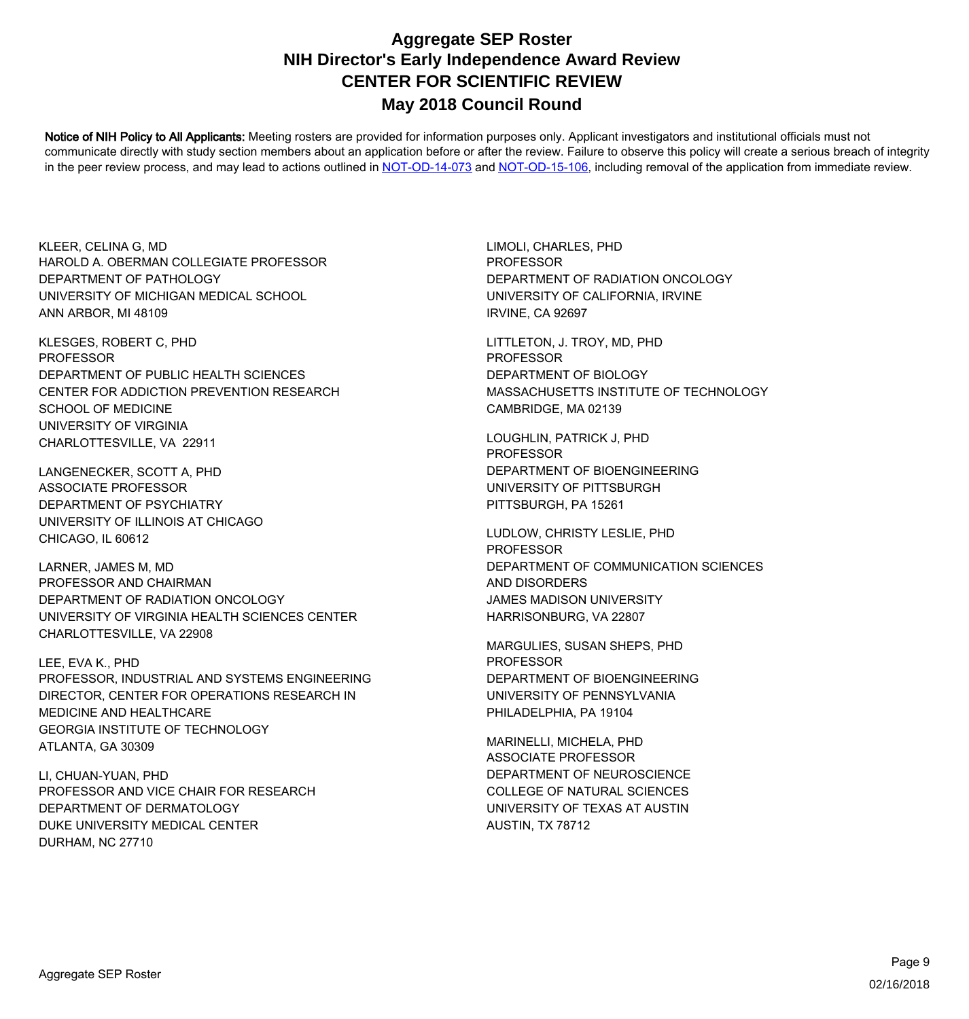Notice of NIH Policy to All Applicants: Meeting rosters are provided for information purposes only. Applicant investigators and institutional officials must not communicate directly with study section members about an application before or after the review. Failure to observe this policy will create a serious breach of integrity in the peer review process, and may lead to actions outlined in [NOT-OD-14-073](https://grants.nih.gov/grants/guide/notice-files/NOT-OD-14-073.html) and [NOT-OD-15-106,](https://grants.nih.gov/grants/guide/notice-files/NOT-OD-15-106.html) including removal of the application from immediate review.

KLEER, CELINA G, MD UNIVERSITY OF MICHIGAN MEDICAL SCHOOL ANN ARBOR, MI 48109 HAROLD A. OBERMAN COLLEGIATE PROFESSOR DEPARTMENT OF PATHOLOGY

KLESGES, ROBERT C, PHD CENTER FOR ADDICTION PREVENTION RESEARCH SCHOOL OF MEDICINE UNIVERSITY OF VIRGINIA CHARLOTTESVILLE, VA 22911 PROFESSOR DEPARTMENT OF PUBLIC HEALTH SCIENCES

LANGENECKER, SCOTT A, PHD UNIVERSITY OF ILLINOIS AT CHICAGO CHICAGO, IL 60612 ASSOCIATE PROFESSOR DEPARTMENT OF PSYCHIATRY

LARNER, JAMES M, MD UNIVERSITY OF VIRGINIA HEALTH SCIENCES CENTER CHARLOTTESVILLE, VA 22908 PROFESSOR AND CHAIRMAN DEPARTMENT OF RADIATION ONCOLOGY

LEE, EVA K., PHD MEDICINE AND HEALTHCARE GEORGIA INSTITUTE OF TECHNOLOGY ATLANTA, GA 30309 PROFESSOR, INDUSTRIAL AND SYSTEMS ENGINEERING DIRECTOR, CENTER FOR OPERATIONS RESEARCH IN

LI, CHUAN-YUAN, PHD DEPARTMENT OF DERMATOLOGY DUKE UNIVERSITY MEDICAL CENTER DURHAM, NC 27710 PROFESSOR AND VICE CHAIR FOR RESEARCH LIMOLI, CHARLES, PHD UNIVERSITY OF CALIFORNIA, IRVINE IRVINE, CA 92697 PROFESSOR DEPARTMENT OF RADIATION ONCOLOGY

LITTLETON, J. TROY, MD, PHD MASSACHUSETTS INSTITUTE OF TECHNOLOGY CAMBRIDGE, MA 02139 PROFESSOR DEPARTMENT OF BIOLOGY

LOUGHLIN, PATRICK J, PHD UNIVERSITY OF PITTSBURGH PITTSBURGH, PA 15261 PROFESSOR DEPARTMENT OF BIOENGINEERING

LUDLOW, CHRISTY LESLIE, PHD AND DISORDERS JAMES MADISON UNIVERSITY HARRISONBURG, VA 22807 PROFESSOR DEPARTMENT OF COMMUNICATION SCIENCES

MARGULIES, SUSAN SHEPS, PHD UNIVERSITY OF PENNSYLVANIA PHILADELPHIA, PA 19104 PROFESSOR DEPARTMENT OF BIOENGINEERING

MARINELLI, MICHELA, PHD COLLEGE OF NATURAL SCIENCES UNIVERSITY OF TEXAS AT AUSTIN AUSTIN, TX 78712 ASSOCIATE PROFESSOR DEPARTMENT OF NEUROSCIENCE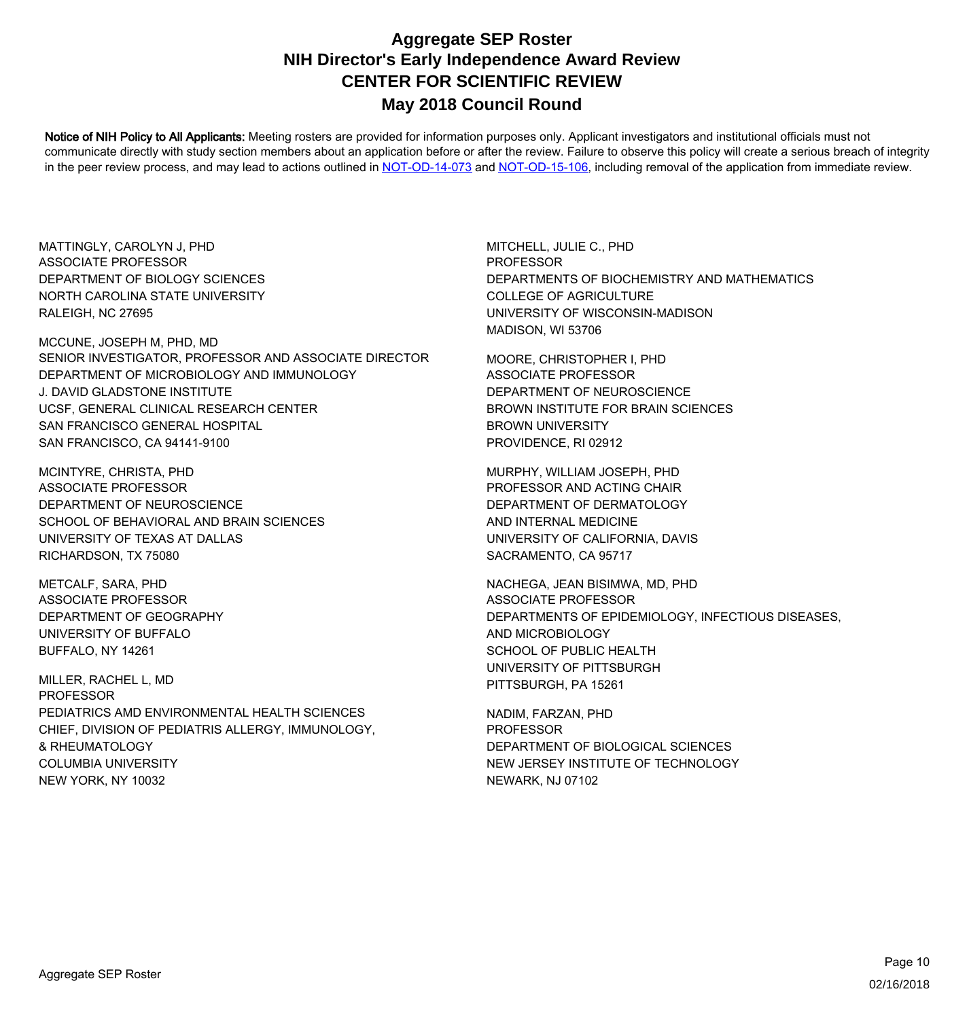Notice of NIH Policy to All Applicants: Meeting rosters are provided for information purposes only. Applicant investigators and institutional officials must not communicate directly with study section members about an application before or after the review. Failure to observe this policy will create a serious breach of integrity in the peer review process, and may lead to actions outlined in [NOT-OD-14-073](https://grants.nih.gov/grants/guide/notice-files/NOT-OD-14-073.html) and [NOT-OD-15-106,](https://grants.nih.gov/grants/guide/notice-files/NOT-OD-15-106.html) including removal of the application from immediate review.

MATTINGLY, CAROLYN J, PHD NORTH CAROLINA STATE UNIVERSITY RALEIGH, NC 27695 ASSOCIATE PROFESSOR DEPARTMENT OF BIOLOGY SCIENCES

MCCUNE, JOSEPH M, PHD, MD J. DAVID GLADSTONE INSTITUTE UCSF, GENERAL CLINICAL RESEARCH CENTER SAN FRANCISCO GENERAL HOSPITAL SAN FRANCISCO, CA 94141-9100 SENIOR INVESTIGATOR, PROFESSOR AND ASSOCIATE DIRECTOR DEPARTMENT OF MICROBIOLOGY AND IMMUNOLOGY

MCINTYRE, CHRISTA, PHD SCHOOL OF BEHAVIORAL AND BRAIN SCIENCES UNIVERSITY OF TEXAS AT DALLAS RICHARDSON, TX 75080 ASSOCIATE PROFESSOR DEPARTMENT OF NEUROSCIENCE

METCALF, SARA, PHD UNIVERSITY OF BUFFALO BUFFALO, NY 14261 ASSOCIATE PROFESSOR DEPARTMENT OF GEOGRAPHY

MILLER, RACHEL L, MD CHIEF, DIVISION OF PEDIATRIS ALLERGY, IMMUNOLOGY, & RHEUMATOLOGY COLUMBIA UNIVERSITY NEW YORK, NY 10032 PROFESSOR PEDIATRICS AMD ENVIRONMENTAL HEALTH SCIENCES

MITCHELL, JULIE C., PHD COLLEGE OF AGRICULTURE UNIVERSITY OF WISCONSIN-MADISON MADISON, WI 53706 **PROFESSOR** DEPARTMENTS OF BIOCHEMISTRY AND MATHEMATICS

MOORE, CHRISTOPHER I, PHD BROWN INSTITUTE FOR BRAIN SCIENCES BROWN UNIVERSITY PROVIDENCE, RI 02912 ASSOCIATE PROFESSOR DEPARTMENT OF NEUROSCIENCE

MURPHY, WILLIAM JOSEPH, PHD AND INTERNAL MEDICINE UNIVERSITY OF CALIFORNIA, DAVIS SACRAMENTO, CA 95717 PROFESSOR AND ACTING CHAIR DEPARTMENT OF DERMATOLOGY

NACHEGA, JEAN BISIMWA, MD, PHD AND MICROBIOLOGY SCHOOL OF PUBLIC HEALTH UNIVERSITY OF PITTSBURGH PITTSBURGH, PA 15261 ASSOCIATE PROFESSOR DEPARTMENTS OF EPIDEMIOLOGY, INFECTIOUS DISEASES,

NADIM, FARZAN, PHD NEW JERSEY INSTITUTE OF TECHNOLOGY NEWARK, NJ 07102 PROFESSOR DEPARTMENT OF BIOLOGICAL SCIENCES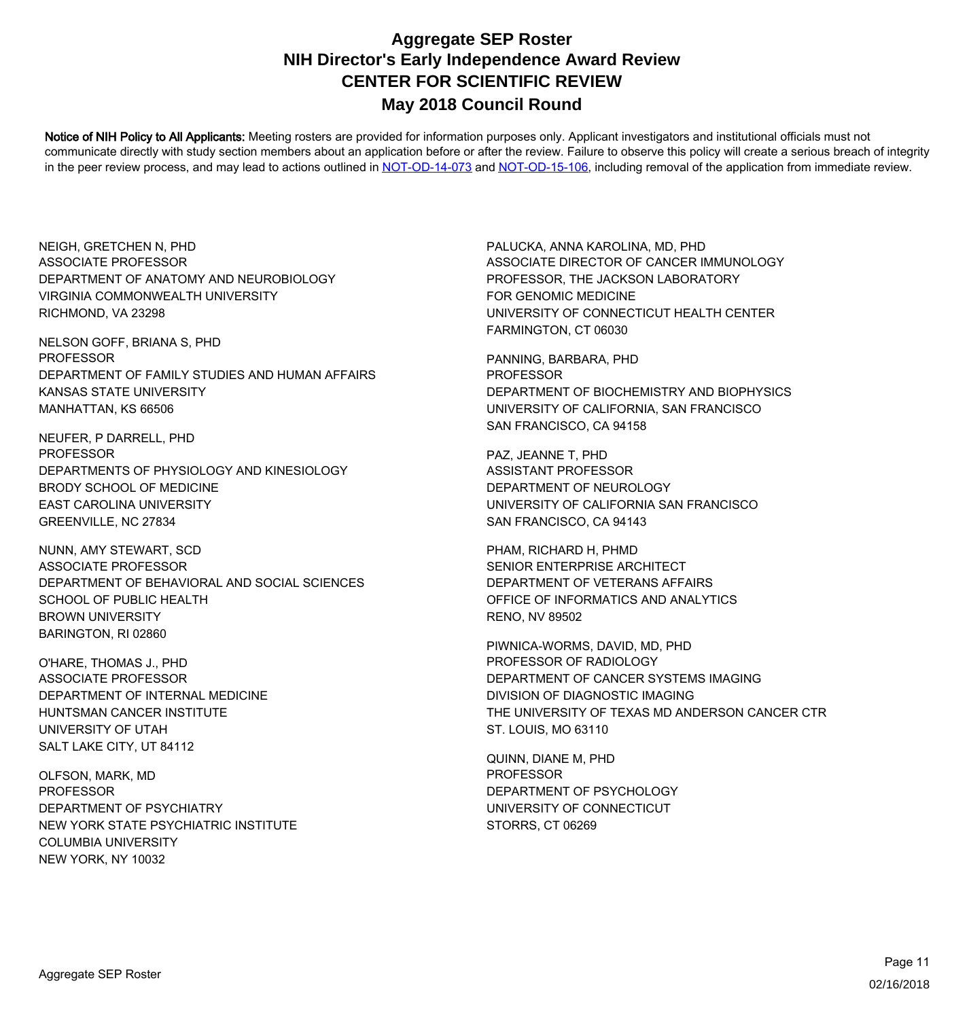Notice of NIH Policy to All Applicants: Meeting rosters are provided for information purposes only. Applicant investigators and institutional officials must not communicate directly with study section members about an application before or after the review. Failure to observe this policy will create a serious breach of integrity in the peer review process, and may lead to actions outlined in [NOT-OD-14-073](https://grants.nih.gov/grants/guide/notice-files/NOT-OD-14-073.html) and [NOT-OD-15-106,](https://grants.nih.gov/grants/guide/notice-files/NOT-OD-15-106.html) including removal of the application from immediate review.

NEIGH, GRETCHEN N, PHD VIRGINIA COMMONWEALTH UNIVERSITY RICHMOND, VA 23298 ASSOCIATE PROFESSOR DEPARTMENT OF ANATOMY AND NEUROBIOLOGY

NELSON GOFF, BRIANA S, PHD KANSAS STATE UNIVERSITY MANHATTAN, KS 66506 PROFESSOR DEPARTMENT OF FAMILY STUDIES AND HUMAN AFFAIRS

NEUFER, P DARRELL, PHD BRODY SCHOOL OF MEDICINE EAST CAROLINA UNIVERSITY GREENVILLE, NC 27834 PROFESSOR DEPARTMENTS OF PHYSIOLOGY AND KINESIOLOGY

NUNN, AMY STEWART, SCD SCHOOL OF PUBLIC HEALTH BROWN UNIVERSITY BARINGTON, RI 02860 ASSOCIATE PROFESSOR DEPARTMENT OF BEHAVIORAL AND SOCIAL SCIENCES

O'HARE, THOMAS J., PHD HUNTSMAN CANCER INSTITUTE UNIVERSITY OF UTAH SALT LAKE CITY, UT 84112 ASSOCIATE PROFESSOR DEPARTMENT OF INTERNAL MEDICINE

OLFSON, MARK, MD NEW YORK STATE PSYCHIATRIC INSTITUTE COLUMBIA UNIVERSITY NEW YORK, NY 10032 PROFESSOR DEPARTMENT OF PSYCHIATRY

PALUCKA, ANNA KAROLINA, MD, PHD FOR GENOMIC MEDICINE UNIVERSITY OF CONNECTICUT HEALTH CENTER FARMINGTON, CT 06030 ASSOCIATE DIRECTOR OF CANCER IMMUNOLOGY PROFESSOR, THE JACKSON LABORATORY

PANNING, BARBARA, PHD UNIVERSITY OF CALIFORNIA, SAN FRANCISCO SAN FRANCISCO, CA 94158 PROFESSOR DEPARTMENT OF BIOCHEMISTRY AND BIOPHYSICS

PAZ, JEANNE T, PHD UNIVERSITY OF CALIFORNIA SAN FRANCISCO SAN FRANCISCO, CA 94143 ASSISTANT PROFESSOR DEPARTMENT OF NEUROLOGY

PHAM, RICHARD H, PHMD OFFICE OF INFORMATICS AND ANALYTICS RENO, NV 89502 SENIOR ENTERPRISE ARCHITECT DEPARTMENT OF VETERANS AFFAIRS

PIWNICA-WORMS, DAVID, MD, PHD DIVISION OF DIAGNOSTIC IMAGING THE UNIVERSITY OF TEXAS MD ANDERSON CANCER CTR ST. LOUIS, MO 63110 PROFESSOR OF RADIOLOGY DEPARTMENT OF CANCER SYSTEMS IMAGING

QUINN, DIANE M, PHD UNIVERSITY OF CONNECTICUT STORRS, CT 06269 PROFESSOR DEPARTMENT OF PSYCHOLOGY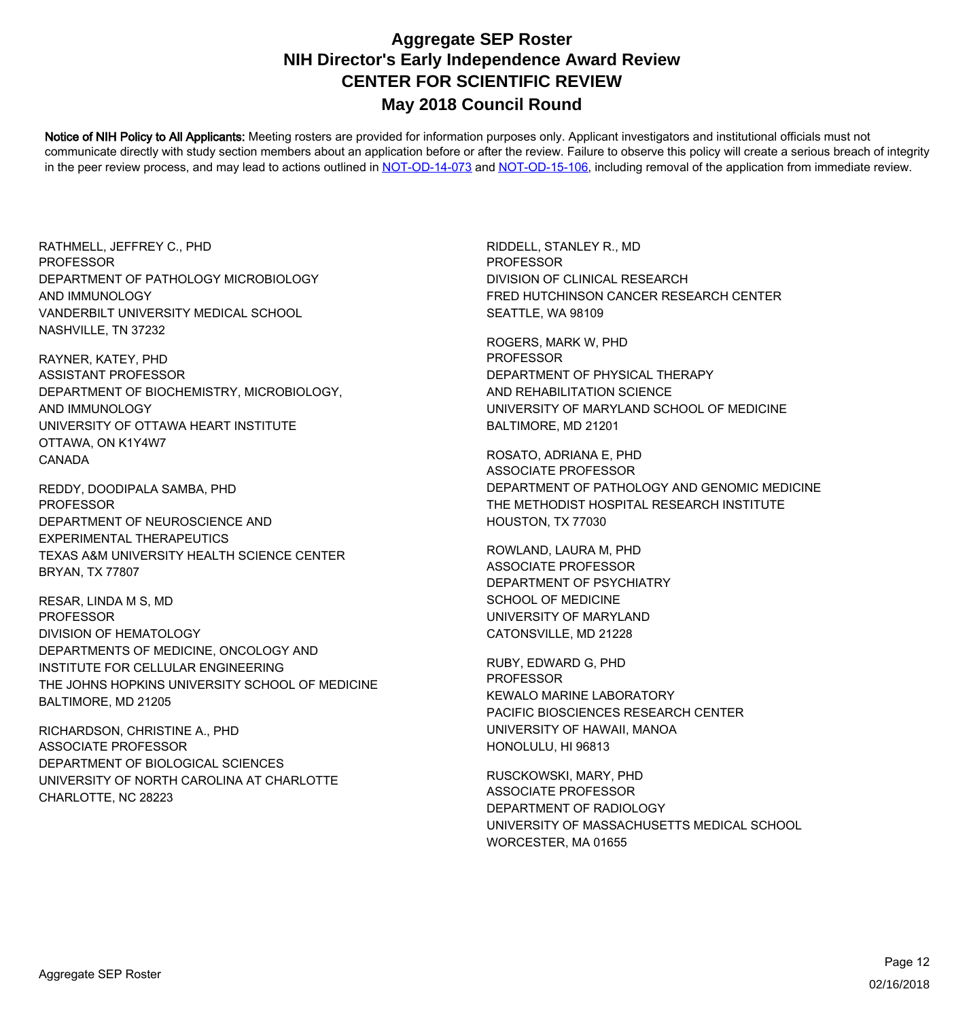Notice of NIH Policy to All Applicants: Meeting rosters are provided for information purposes only. Applicant investigators and institutional officials must not communicate directly with study section members about an application before or after the review. Failure to observe this policy will create a serious breach of integrity in the peer review process, and may lead to actions outlined in [NOT-OD-14-073](https://grants.nih.gov/grants/guide/notice-files/NOT-OD-14-073.html) and [NOT-OD-15-106,](https://grants.nih.gov/grants/guide/notice-files/NOT-OD-15-106.html) including removal of the application from immediate review.

RATHMELL, JEFFREY C., PHD AND IMMUNOLOGY VANDERBILT UNIVERSITY MEDICAL SCHOOL NASHVILLE, TN 37232 **PROFESSOR** DEPARTMENT OF PATHOLOGY MICROBIOLOGY

RAYNER, KATEY, PHD AND IMMUNOLOGY UNIVERSITY OF OTTAWA HEART INSTITUTE CANADA OTTAWA, ON K1Y4W7 ASSISTANT PROFESSOR DEPARTMENT OF BIOCHEMISTRY, MICROBIOLOGY,

REDDY, DOODIPALA SAMBA, PHD EXPERIMENTAL THERAPEUTICS TEXAS A&M UNIVERSITY HEALTH SCIENCE CENTER BRYAN, TX 77807 PROFESSOR DEPARTMENT OF NEUROSCIENCE AND

RESAR, LINDA M S, MD DEPARTMENTS OF MEDICINE, ONCOLOGY AND INSTITUTE FOR CELLULAR ENGINEERING THE JOHNS HOPKINS UNIVERSITY SCHOOL OF MEDICINE BALTIMORE, MD 21205 PROFESSOR DIVISION OF HEMATOLOGY

RICHARDSON, CHRISTINE A., PHD UNIVERSITY OF NORTH CAROLINA AT CHARLOTTE CHARLOTTE, NC 28223 ASSOCIATE PROFESSOR DEPARTMENT OF BIOLOGICAL SCIENCES

RIDDELL, STANLEY R., MD FRED HUTCHINSON CANCER RESEARCH CENTER SEATTLE, WA 98109 PROFESSOR DIVISION OF CLINICAL RESEARCH

ROGERS, MARK W, PHD AND REHABILITATION SCIENCE UNIVERSITY OF MARYLAND SCHOOL OF MEDICINE BALTIMORE, MD 21201 PROFESSOR DEPARTMENT OF PHYSICAL THERAPY

ROSATO, ADRIANA E, PHD THE METHODIST HOSPITAL RESEARCH INSTITUTE HOUSTON, TX 77030 ASSOCIATE PROFESSOR DEPARTMENT OF PATHOLOGY AND GENOMIC MEDICINE

ROWLAND, LAURA M, PHD SCHOOL OF MEDICINE UNIVERSITY OF MARYLAND CATONSVILLE, MD 21228 ASSOCIATE PROFESSOR DEPARTMENT OF PSYCHIATRY

RUBY, EDWARD G, PHD PACIFIC BIOSCIENCES RESEARCH CENTER UNIVERSITY OF HAWAII, MANOA HONOLULU, HI 96813 PROFESSOR KEWALO MARINE LABORATORY

RUSCKOWSKI, MARY, PHD UNIVERSITY OF MASSACHUSETTS MEDICAL SCHOOL WORCESTER, MA 01655 ASSOCIATE PROFESSOR DEPARTMENT OF RADIOLOGY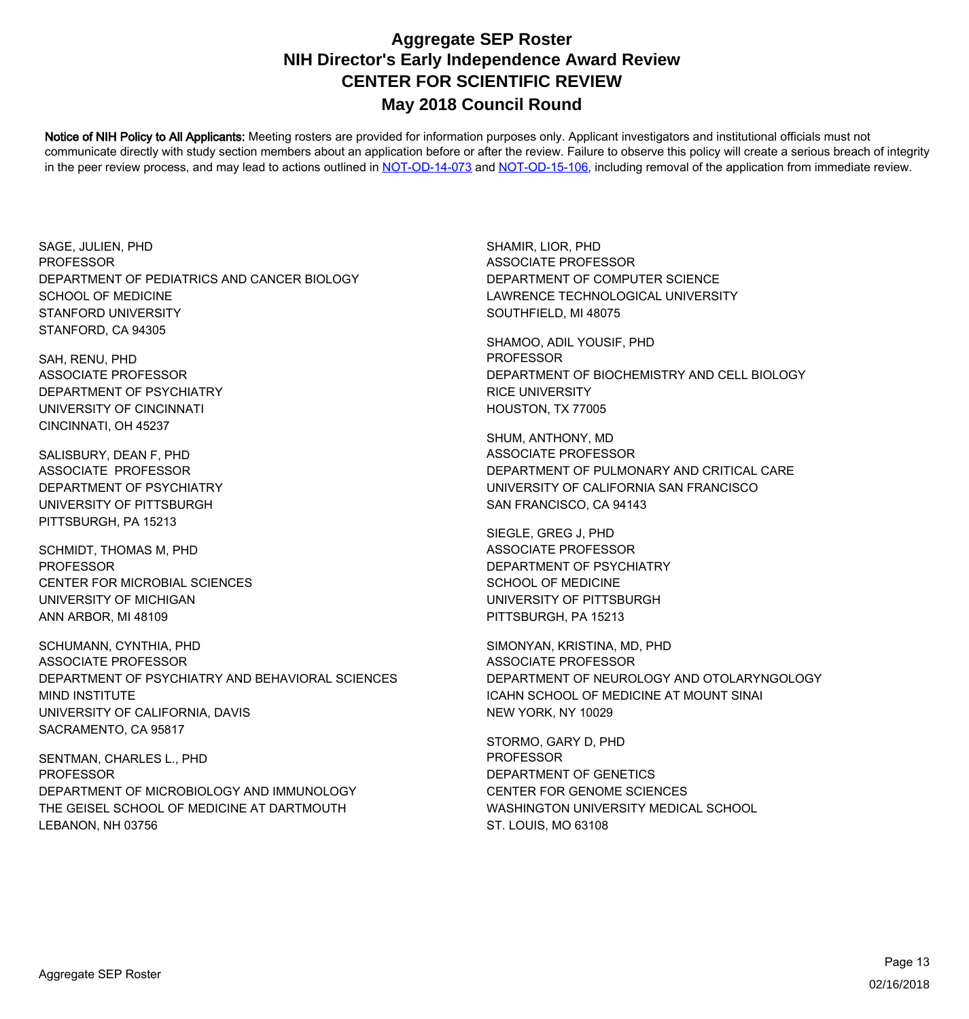Notice of NIH Policy to All Applicants: Meeting rosters are provided for information purposes only. Applicant investigators and institutional officials must not communicate directly with study section members about an application before or after the review. Failure to observe this policy will create a serious breach of integrity in the peer review process, and may lead to actions outlined in [NOT-OD-14-073](https://grants.nih.gov/grants/guide/notice-files/NOT-OD-14-073.html) and [NOT-OD-15-106,](https://grants.nih.gov/grants/guide/notice-files/NOT-OD-15-106.html) including removal of the application from immediate review.

SAGE, JULIEN, PHD DEPARTMENT OF PEDIATRICS AND CANCER BIOLOGY SCHOOL OF MEDICINE STANFORD UNIVERSITY STANFORD, CA 94305 **PROFESSOR** 

SAH, RENU, PHD UNIVERSITY OF CINCINNATI CINCINNATI, OH 45237 ASSOCIATE PROFESSOR DEPARTMENT OF PSYCHIATRY

SALISBURY, DEAN F, PHD UNIVERSITY OF PITTSBURGH PITTSBURGH, PA 15213 ASSOCIATE PROFESSOR DEPARTMENT OF PSYCHIATRY

SCHMIDT, THOMAS M, PHD UNIVERSITY OF MICHIGAN ANN ARBOR, MI 48109 PROFESSOR CENTER FOR MICROBIAL SCIENCES

SCHUMANN, CYNTHIA, PHD MIND INSTITUTE UNIVERSITY OF CALIFORNIA, DAVIS SACRAMENTO, CA 95817 ASSOCIATE PROFESSOR DEPARTMENT OF PSYCHIATRY AND BEHAVIORAL SCIENCES

SENTMAN, CHARLES L., PHD THE GEISEL SCHOOL OF MEDICINE AT DARTMOUTH LEBANON, NH 03756 PROFESSOR DEPARTMENT OF MICROBIOLOGY AND IMMUNOLOGY

SHAMIR, LIOR, PHD LAWRENCE TECHNOLOGICAL UNIVERSITY SOUTHFIELD, MI 48075 ASSOCIATE PROFESSOR DEPARTMENT OF COMPUTER SCIENCE

SHAMOO, ADIL YOUSIF, PHD RICE UNIVERSITY HOUSTON, TX 77005 PROFESSOR DEPARTMENT OF BIOCHEMISTRY AND CELL BIOLOGY

SHUM, ANTHONY, MD UNIVERSITY OF CALIFORNIA SAN FRANCISCO SAN FRANCISCO, CA 94143 ASSOCIATE PROFESSOR DEPARTMENT OF PULMONARY AND CRITICAL CARE

SIEGLE, GREG J, PHD SCHOOL OF MEDICINE UNIVERSITY OF PITTSBURGH PITTSBURGH, PA 15213 ASSOCIATE PROFESSOR DEPARTMENT OF PSYCHIATRY

SIMONYAN, KRISTINA, MD, PHD ICAHN SCHOOL OF MEDICINE AT MOUNT SINAI NEW YORK, NY 10029 ASSOCIATE PROFESSOR DEPARTMENT OF NEUROLOGY AND OTOLARYNGOLOGY

STORMO, GARY D, PHD CENTER FOR GENOME SCIENCES WASHINGTON UNIVERSITY MEDICAL SCHOOL ST. LOUIS, MO 63108 PROFESSOR DEPARTMENT OF GENETICS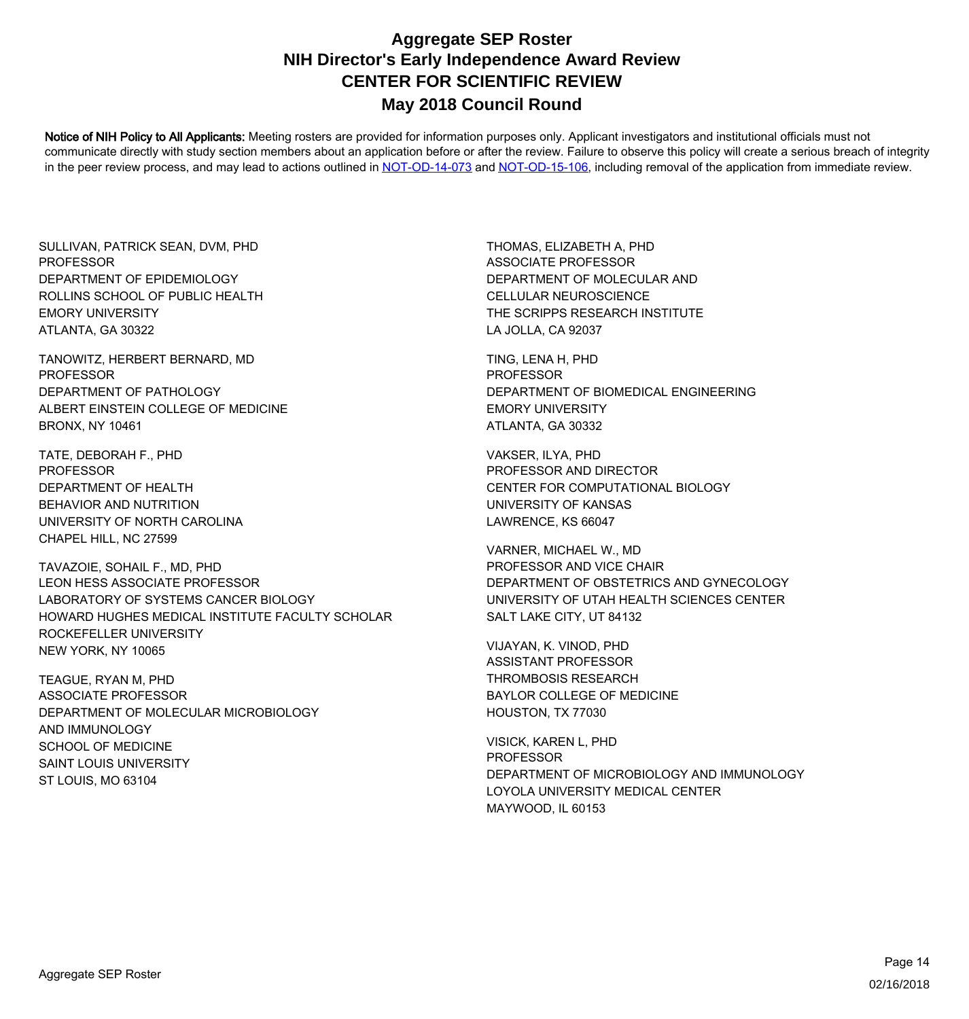Notice of NIH Policy to All Applicants: Meeting rosters are provided for information purposes only. Applicant investigators and institutional officials must not communicate directly with study section members about an application before or after the review. Failure to observe this policy will create a serious breach of integrity in the peer review process, and may lead to actions outlined in [NOT-OD-14-073](https://grants.nih.gov/grants/guide/notice-files/NOT-OD-14-073.html) and [NOT-OD-15-106,](https://grants.nih.gov/grants/guide/notice-files/NOT-OD-15-106.html) including removal of the application from immediate review.

SULLIVAN, PATRICK SEAN, DVM, PHD ROLLINS SCHOOL OF PUBLIC HEALTH EMORY UNIVERSITY ATLANTA, GA 30322 **PROFESSOR** DEPARTMENT OF EPIDEMIOLOGY

TANOWITZ, HERBERT BERNARD, MD ALBERT EINSTEIN COLLEGE OF MEDICINE BRONX, NY 10461 PROFESSOR DEPARTMENT OF PATHOLOGY

TATE, DEBORAH F., PHD BEHAVIOR AND NUTRITION UNIVERSITY OF NORTH CAROLINA CHAPEL HILL, NC 27599 PROFESSOR DEPARTMENT OF HEALTH

TAVAZOIE, SOHAIL F., MD, PHD HOWARD HUGHES MEDICAL INSTITUTE FACULTY SCHOLAR ROCKEFELLER UNIVERSITY NEW YORK, NY 10065 LEON HESS ASSOCIATE PROFESSOR LABORATORY OF SYSTEMS CANCER BIOLOGY

TEAGUE, RYAN M, PHD AND IMMUNOLOGY SCHOOL OF MEDICINE SAINT LOUIS UNIVERSITY ST LOUIS, MO 63104 ASSOCIATE PROFESSOR DEPARTMENT OF MOLECULAR MICROBIOLOGY THOMAS, ELIZABETH A, PHD CELLULAR NEUROSCIENCE THE SCRIPPS RESEARCH INSTITUTE LA JOLLA, CA 92037 ASSOCIATE PROFESSOR DEPARTMENT OF MOLECULAR AND

TING, LENA H, PHD EMORY UNIVERSITY ATLANTA, GA 30332 PROFESSOR DEPARTMENT OF BIOMEDICAL ENGINEERING

VAKSER, ILYA, PHD UNIVERSITY OF KANSAS LAWRENCE, KS 66047 PROFESSOR AND DIRECTOR CENTER FOR COMPUTATIONAL BIOLOGY

VARNER, MICHAEL W., MD UNIVERSITY OF UTAH HEALTH SCIENCES CENTER SALT LAKE CITY, UT 84132 PROFESSOR AND VICE CHAIR DEPARTMENT OF OBSTETRICS AND GYNECOLOGY

VIJAYAN, K. VINOD, PHD THROMBOSIS RESEARCH BAYLOR COLLEGE OF MEDICINE HOUSTON, TX 77030 ASSISTANT PROFESSOR

VISICK, KAREN L, PHD LOYOLA UNIVERSITY MEDICAL CENTER MAYWOOD, IL 60153 PROFESSOR DEPARTMENT OF MICROBIOLOGY AND IMMUNOLOGY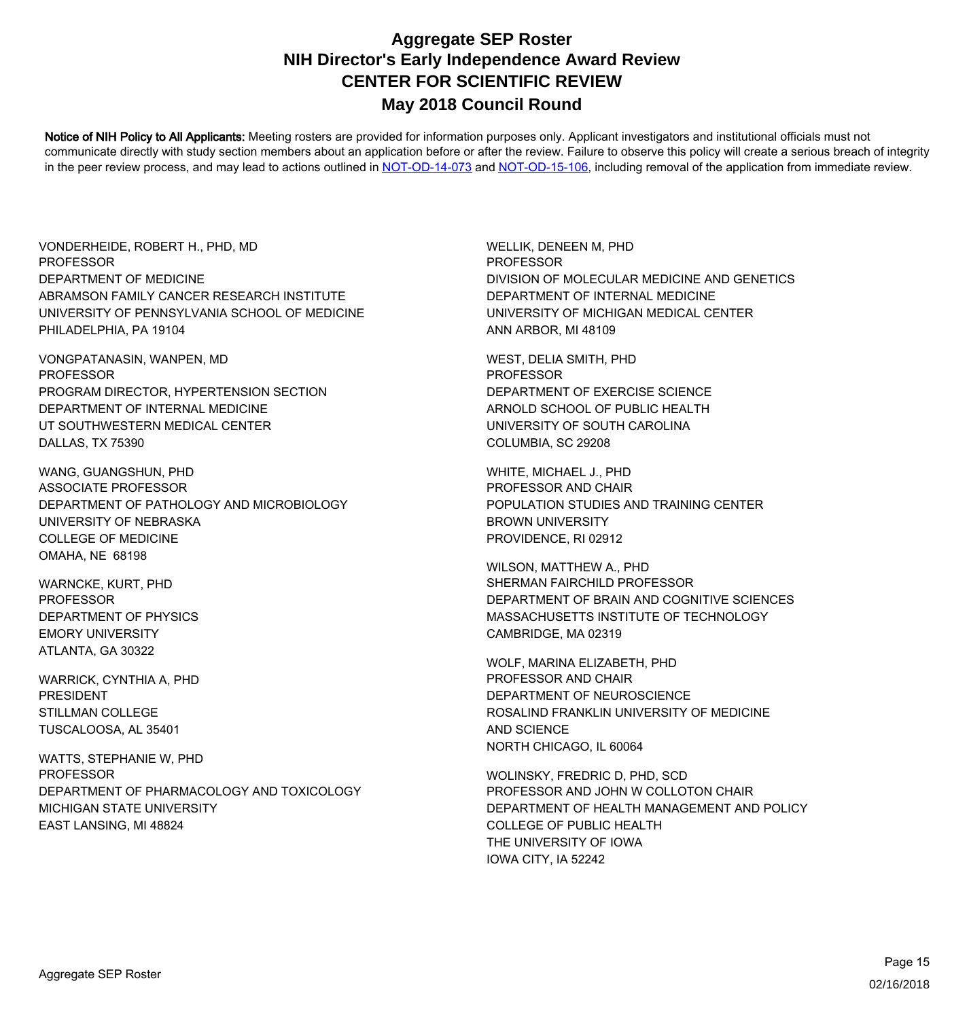Notice of NIH Policy to All Applicants: Meeting rosters are provided for information purposes only. Applicant investigators and institutional officials must not communicate directly with study section members about an application before or after the review. Failure to observe this policy will create a serious breach of integrity in the peer review process, and may lead to actions outlined in [NOT-OD-14-073](https://grants.nih.gov/grants/guide/notice-files/NOT-OD-14-073.html) and [NOT-OD-15-106,](https://grants.nih.gov/grants/guide/notice-files/NOT-OD-15-106.html) including removal of the application from immediate review.

VONDERHEIDE, ROBERT H., PHD, MD ABRAMSON FAMILY CANCER RESEARCH INSTITUTE UNIVERSITY OF PENNSYLVANIA SCHOOL OF MEDICINE PHILADELPHIA, PA 19104 **PROFESSOR** DEPARTMENT OF MEDICINE

VONGPATANASIN, WANPEN, MD DEPARTMENT OF INTERNAL MEDICINE UT SOUTHWESTERN MEDICAL CENTER DALLAS, TX 75390 PROFESSOR PROGRAM DIRECTOR, HYPERTENSION SECTION

WANG, GUANGSHUN, PHD UNIVERSITY OF NEBRASKA COLLEGE OF MEDICINE OMAHA, NE 68198 ASSOCIATE PROFESSOR DEPARTMENT OF PATHOLOGY AND MICROBIOLOGY

WARNCKE, KURT, PHD EMORY UNIVERSITY ATLANTA, GA 30322 PROFESSOR DEPARTMENT OF PHYSICS

WARRICK, CYNTHIA A, PHD TUSCALOOSA, AL 35401 PRESIDENT STILLMAN COLLEGE

WATTS, STEPHANIE W, PHD MICHIGAN STATE UNIVERSITY EAST LANSING, MI 48824 PROFESSOR DEPARTMENT OF PHARMACOLOGY AND TOXICOLOGY WELLIK, DENEEN M, PHD DEPARTMENT OF INTERNAL MEDICINE UNIVERSITY OF MICHIGAN MEDICAL CENTER ANN ARBOR, MI 48109 **PROFESSOR** DIVISION OF MOLECULAR MEDICINE AND GENETICS

WEST, DELIA SMITH, PHD ARNOLD SCHOOL OF PUBLIC HEALTH UNIVERSITY OF SOUTH CAROLINA COLUMBIA, SC 29208 PROFESSOR DEPARTMENT OF EXERCISE SCIENCE

WHITE, MICHAEL J., PHD BROWN UNIVERSITY PROVIDENCE, RI 02912 PROFESSOR AND CHAIR POPULATION STUDIES AND TRAINING CENTER

WILSON, MATTHEW A., PHD MASSACHUSETTS INSTITUTE OF TECHNOLOGY CAMBRIDGE, MA 02319 SHERMAN FAIRCHILD PROFESSOR DEPARTMENT OF BRAIN AND COGNITIVE SCIENCES

WOLF, MARINA ELIZABETH, PHD ROSALIND FRANKLIN UNIVERSITY OF MEDICINE AND SCIENCE NORTH CHICAGO, IL 60064 PROFESSOR AND CHAIR DEPARTMENT OF NEUROSCIENCE

WOLINSKY, FREDRIC D, PHD, SCD COLLEGE OF PUBLIC HEALTH THE UNIVERSITY OF IOWA IOWA CITY, IA 52242 PROFESSOR AND JOHN W COLLOTON CHAIR DEPARTMENT OF HEALTH MANAGEMENT AND POLICY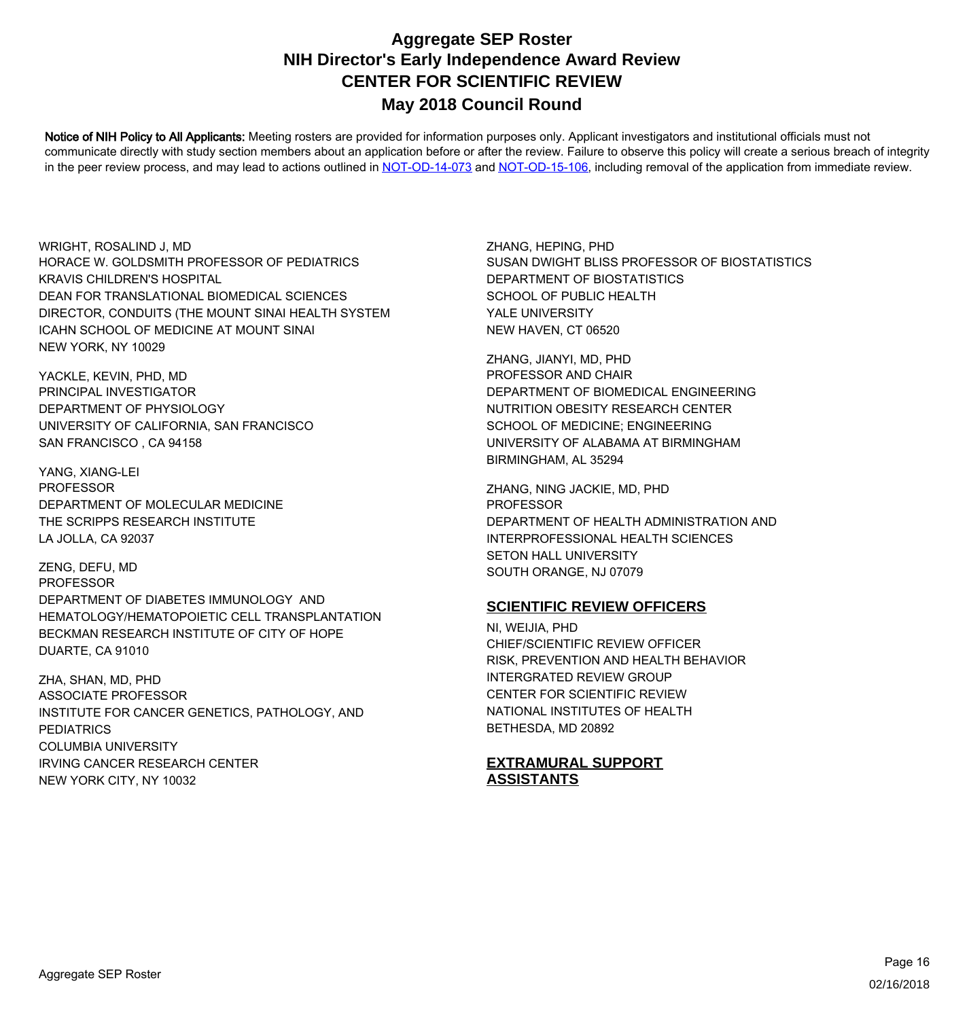Notice of NIH Policy to All Applicants: Meeting rosters are provided for information purposes only. Applicant investigators and institutional officials must not communicate directly with study section members about an application before or after the review. Failure to observe this policy will create a serious breach of integrity in the peer review process, and may lead to actions outlined in [NOT-OD-14-073](https://grants.nih.gov/grants/guide/notice-files/NOT-OD-14-073.html) and [NOT-OD-15-106,](https://grants.nih.gov/grants/guide/notice-files/NOT-OD-15-106.html) including removal of the application from immediate review.

WRIGHT, ROSALIND J, MD DEAN FOR TRANSLATIONAL BIOMEDICAL SCIENCES DIRECTOR, CONDUITS (THE MOUNT SINAI HEALTH SYSTEM ICAHN SCHOOL OF MEDICINE AT MOUNT SINAI NEW YORK, NY 10029 HORACE W. GOLDSMITH PROFESSOR OF PEDIATRICS KRAVIS CHILDREN'S HOSPITAL

YACKLE, KEVIN, PHD, MD UNIVERSITY OF CALIFORNIA, SAN FRANCISCO SAN FRANCISCO , CA 94158 PRINCIPAL INVESTIGATOR DEPARTMENT OF PHYSIOLOGY

YANG, XIANG-LEI THE SCRIPPS RESEARCH INSTITUTE LA JOLLA, CA 92037 PROFESSOR DEPARTMENT OF MOLECULAR MEDICINE

ZENG, DEFU, MD HEMATOLOGY/HEMATOPOIETIC CELL TRANSPLANTATION BECKMAN RESEARCH INSTITUTE OF CITY OF HOPE DUARTE, CA 91010 PROFESSOR DEPARTMENT OF DIABETES IMMUNOLOGY AND

ZHA, SHAN, MD, PHD PEDIATRICS COLUMBIA UNIVERSITY IRVING CANCER RESEARCH CENTER NEW YORK CITY, NY 10032 ASSOCIATE PROFESSOR INSTITUTE FOR CANCER GENETICS, PATHOLOGY, AND ZHANG, HEPING, PHD SCHOOL OF PUBLIC HEALTH YALE UNIVERSITY NEW HAVEN, CT 06520 SUSAN DWIGHT BLISS PROFESSOR OF BIOSTATISTICS DEPARTMENT OF BIOSTATISTICS

ZHANG, JIANYI, MD, PHD NUTRITION OBESITY RESEARCH CENTER SCHOOL OF MEDICINE; ENGINEERING UNIVERSITY OF ALABAMA AT BIRMINGHAM BIRMINGHAM, AL 35294 PROFESSOR AND CHAIR DEPARTMENT OF BIOMEDICAL ENGINEERING

ZHANG, NING JACKIE, MD, PHD INTERPROFESSIONAL HEALTH SCIENCES SETON HALL UNIVERSITY SOUTH ORANGE, NJ 07079 PROFESSOR DEPARTMENT OF HEALTH ADMINISTRATION AND

#### **SCIENTIFIC REVIEW OFFICERS**

NI, WEIJIA, PHD INTERGRATED REVIEW GROUP CENTER FOR SCIENTIFIC REVIEW NATIONAL INSTITUTES OF HEALTH BETHESDA, MD 20892 CHIEF/SCIENTIFIC REVIEW OFFICER RISK, PREVENTION AND HEALTH BEHAVIOR

**EXTRAMURAL SUPPORT ASSISTANTS**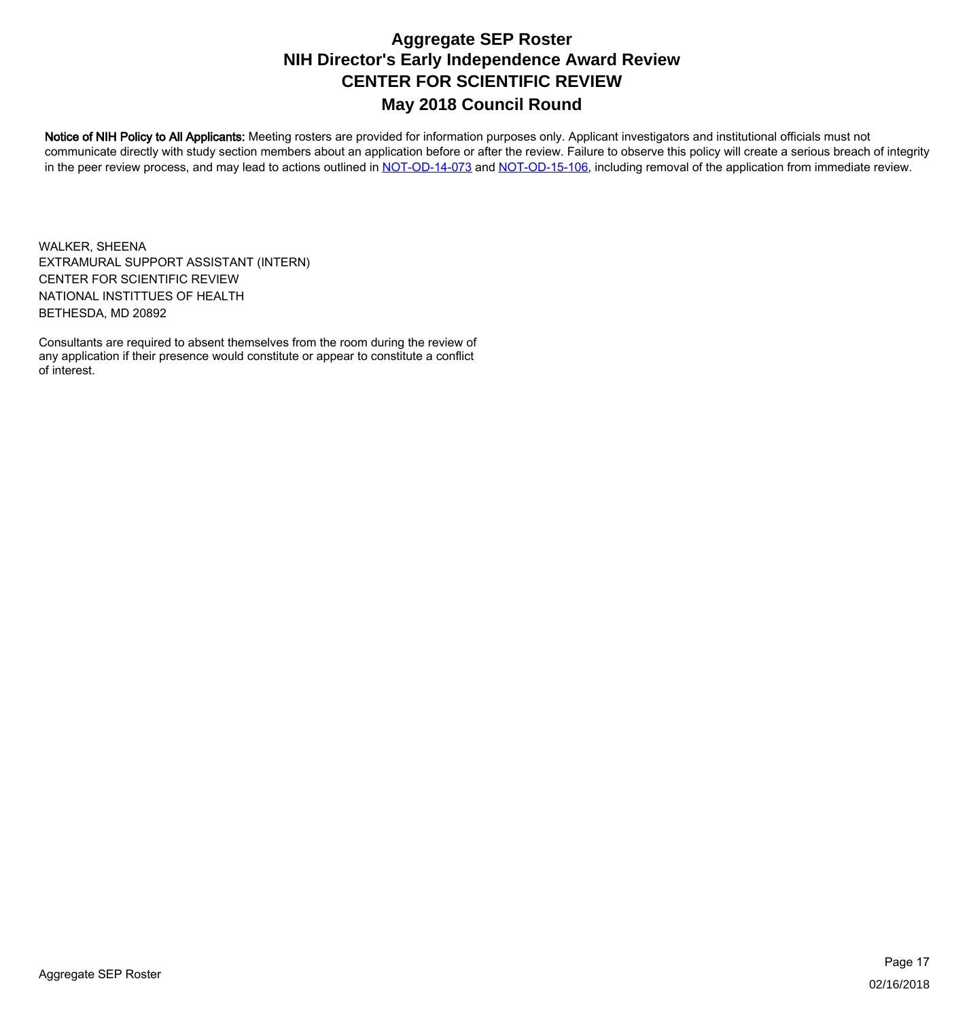Notice of NIH Policy to All Applicants: Meeting rosters are provided for information purposes only. Applicant investigators and institutional officials must not communicate directly with study section members about an application before or after the review. Failure to observe this policy will create a serious breach of integrity in the peer review process, and may lead to actions outlined in [NOT-OD-14-073](https://grants.nih.gov/grants/guide/notice-files/NOT-OD-14-073.html) and [NOT-OD-15-106,](https://grants.nih.gov/grants/guide/notice-files/NOT-OD-15-106.html) including removal of the application from immediate review.

WALKER, SHEENA NATIONAL INSTITTUES OF HEALTH BETHESDA, MD 20892 EXTRAMURAL SUPPORT ASSISTANT (INTERN) CENTER FOR SCIENTIFIC REVIEW

Consultants are required to absent themselves from the room during the review of any application if their presence would constitute or appear to constitute a conflict of interest.